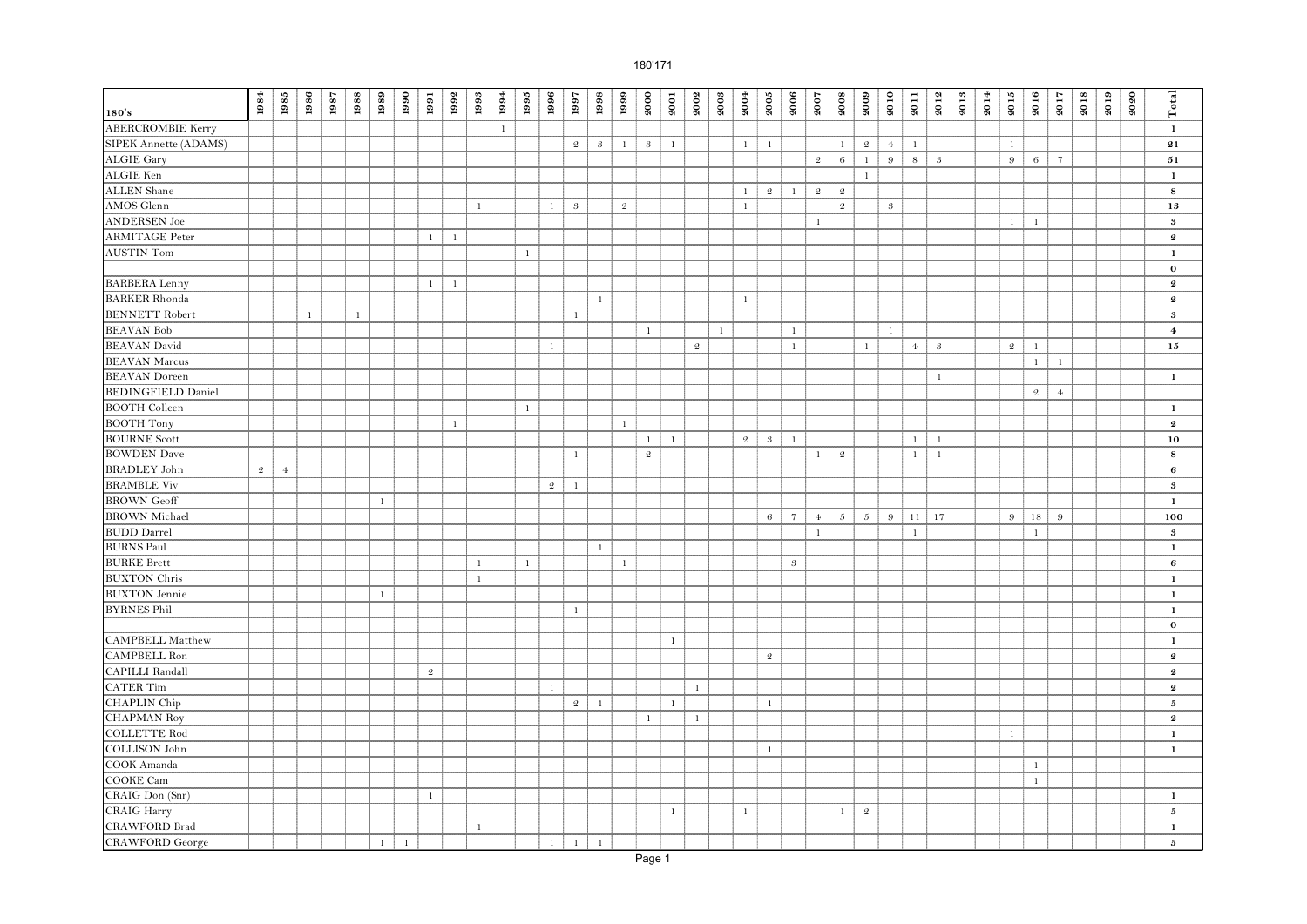| 180's                                 | $\boldsymbol{1984}$ | 1985       | 1986         | 1987 | 1988         | 1989         | 1990         | 1991           | 1992           | 1993         | 1994         | $1995\,$     | 1996           | 1997           | 1998         | 1999           | 2000           | 2001         | 2002           | 2003         | 2004           | $\boldsymbol{2005}$ | 2006           | 2007           | 2008            | 2009           | 2010          | 2011         | 2012             | 2013 | 2014 | $\boldsymbol{2015}$ | 2016           | 2017           | 2018 | 2019 | 2020 | Total                      |
|---------------------------------------|---------------------|------------|--------------|------|--------------|--------------|--------------|----------------|----------------|--------------|--------------|--------------|----------------|----------------|--------------|----------------|----------------|--------------|----------------|--------------|----------------|---------------------|----------------|----------------|-----------------|----------------|---------------|--------------|------------------|------|------|---------------------|----------------|----------------|------|------|------|----------------------------|
|                                       |                     |            |              |      |              |              |              |                |                |              |              |              |                |                |              |                |                |              |                |              |                |                     |                |                |                 |                |               |              |                  |      |      |                     |                |                |      |      |      |                            |
| <b>ABERCROMBIE Kerry</b>              |                     |            |              |      |              |              |              |                |                |              | $\mathbf{1}$ |              |                |                |              |                |                |              |                |              |                |                     |                |                |                 |                |               |              |                  |      |      |                     |                |                |      |      |      | $\mathbf{1}$               |
| SIPEK Annette (ADAMS)                 |                     |            |              |      |              |              |              |                |                |              |              |              |                | $\mathfrak{2}$ | $\mathbf{3}$ | $\mathbf{1}$   | $\mathfrak{g}$ | $\mathbf{1}$ |                |              | $\mathbf{1}$   | $\mathbf{1}$        |                |                | $\mathbf{1}$    | $\mathfrak{D}$ | $\ddagger$    | $\mathbf{1}$ |                  |      |      | $\mathbf{1}$        |                |                |      |      |      | 21                         |
| <b>ALGIE Gary</b><br><b>ALGIE Ken</b> |                     |            |              |      |              |              |              |                |                |              |              |              |                |                |              |                |                |              |                |              |                |                     |                | $\mathfrak{2}$ | $\,6\,$         | $\mathbf{1}$   | $9\,$         | $\,$ 8 $\,$  | $\boldsymbol{3}$ |      |      | $9\,$               | $6\,$          | $\overline{7}$ |      |      |      | 51                         |
|                                       |                     |            |              |      |              |              |              |                |                |              |              |              |                |                |              |                |                |              |                |              |                |                     |                |                |                 | $\mathbf{1}$   |               |              |                  |      |      |                     |                |                |      |      |      | $\mathbf 1$                |
| <b>ALLEN</b> Shane                    |                     |            |              |      |              |              |              |                |                |              |              |              |                |                |              |                |                |              |                |              | $\mathbf{1}$   | $\mathfrak{D}$      | $\mathbf{1}$   | $\mathfrak{2}$ | $\mathfrak{D}$  |                |               |              |                  |      |      |                     |                |                |      |      |      | ${\bf 8}$                  |
| <b>AMOS</b> Glenn                     |                     |            |              |      |              |              |              |                |                | $\mathbf{1}$ |              |              | $\mathbf{1}$   | $\sqrt{3}$     |              | $\mathfrak{2}$ |                |              |                |              | $\mathbf{1}$   |                     |                |                | $\mathfrak{2}$  |                | $\mathcal{S}$ |              |                  |      |      |                     |                |                |      |      |      | $13\,$                     |
| <b>ANDERSEN</b> Joe                   |                     |            |              |      |              |              |              |                |                |              |              |              |                |                |              |                |                |              |                |              |                |                     |                | $\,1$          |                 |                |               |              |                  |      |      | $\mathbf{1}$        | $\mathbf{1}$   |                |      |      |      | $\bf{3}$                   |
| <b>ARMITAGE Peter</b>                 |                     |            |              |      |              |              |              | $\mathbf{1}$   | $\overline{1}$ |              |              |              |                |                |              |                |                |              |                |              |                |                     |                |                |                 |                |               |              |                  |      |      |                     |                |                |      |      |      | $\boldsymbol{2}$           |
| <b>AUSTIN Tom</b>                     |                     |            |              |      |              |              |              |                |                |              |              | $\mathbf{1}$ |                |                |              |                |                |              |                |              |                |                     |                |                |                 |                |               |              |                  |      |      |                     |                |                |      |      |      | $\mathbf 1$                |
|                                       |                     |            |              |      |              |              |              |                |                |              |              |              |                |                |              |                |                |              |                |              |                |                     |                |                |                 |                |               |              |                  |      |      |                     |                |                |      |      |      | $\mathbf 0$                |
| <b>BARBERA Lenny</b>                  |                     |            |              |      |              |              |              | $\mathbf{1}$   | $\overline{1}$ |              |              |              |                |                |              |                |                |              |                |              |                |                     |                |                |                 |                |               |              |                  |      |      |                     |                |                |      |      |      | $\boldsymbol{2}$           |
| <b>BARKER Rhonda</b>                  |                     |            |              |      |              |              |              |                |                |              |              |              |                |                | $\mathbf{1}$ |                |                |              |                |              | -1             |                     |                |                |                 |                |               |              |                  |      |      |                     |                |                |      |      |      | $\boldsymbol{2}$           |
| <b>BENNETT</b> Robert                 |                     |            | $\mathbf{1}$ |      | $\mathbf{1}$ |              |              |                |                |              |              |              |                | $\mathbf{1}$   |              |                |                |              |                |              |                |                     |                |                |                 |                |               |              |                  |      |      |                     |                |                |      |      |      | $\boldsymbol{\mathcal{S}}$ |
| <b>BEAVAN Bob</b>                     |                     |            |              |      |              |              |              |                |                |              |              |              |                |                |              |                | $\mathbf{1}$   |              |                | $\mathbf{1}$ |                |                     | $\mathbf{1}$   |                |                 |                | $\mathbf{1}$  |              |                  |      |      |                     |                |                |      |      |      | $\overline{\mathbf{4}}$    |
| <b>BEAVAN</b> David                   |                     |            |              |      |              |              |              |                |                |              |              |              | $\mathbf{1}$   |                |              |                |                |              | $\mathfrak{2}$ |              |                |                     | $\mathbf{1}$   |                |                 | $\mathbf{1}$   |               | $\Phi$       | $\boldsymbol{3}$ |      |      | $\mathfrak{D}$      | -1             |                |      |      |      | 15                         |
| <b>BEAVAN Marcus</b>                  |                     |            |              |      |              |              |              |                |                |              |              |              |                |                |              |                |                |              |                |              |                |                     |                |                |                 |                |               |              |                  |      |      |                     | $\mathbf{1}$   | $\mathbf{1}$   |      |      |      |                            |
| <b>BEAVAN</b> Doreen                  |                     |            |              |      |              |              |              |                |                |              |              |              |                |                |              |                |                |              |                |              |                |                     |                |                |                 |                |               |              | $\mathbf{1}$     |      |      |                     |                |                |      |      |      | $\mathbf 1$                |
| <b>BEDINGFIELD Daniel</b>             |                     |            |              |      |              |              |              |                |                |              |              |              |                |                |              |                |                |              |                |              |                |                     |                |                |                 |                |               |              |                  |      |      |                     | $\mathfrak{D}$ | $4\cdot$       |      |      |      |                            |
| <b>BOOTH Colleen</b>                  |                     |            |              |      |              |              |              |                |                |              |              | $\mathbf{1}$ |                |                |              |                |                |              |                |              |                |                     |                |                |                 |                |               |              |                  |      |      |                     |                |                |      |      |      | $\mathbf{1}$               |
| <b>BOOTH Tony</b>                     |                     |            |              |      |              |              |              |                | $\mathbf{1}$   |              |              |              |                |                |              | $\mathbf{1}$   |                |              |                |              |                |                     |                |                |                 |                |               |              |                  |      |      |                     |                |                |      |      |      | $\boldsymbol{2}$           |
| <b>BOURNE Scott</b>                   |                     |            |              |      |              |              |              |                |                |              |              |              |                |                |              |                | $1\,$          | $\mathbf{1}$ |                |              | $\mathfrak{2}$ | $\mathbf{3}$        | $\mathbf{1}$   |                |                 |                |               | $\mathbf{1}$ | $\mathbf{1}$     |      |      |                     |                |                |      |      |      | 10                         |
| <b>BOWDEN</b> Dave                    |                     |            |              |      |              |              |              |                |                |              |              |              |                | $\,1\,$        |              |                | $\mathfrak{2}$ |              |                |              |                |                     |                | $1\,$          | $\sqrt{2}$      |                |               | $\mathbf{1}$ | $\,$ 1 $\,$      |      |      |                     |                |                |      |      |      | ${\bf 8}$                  |
| <b>BRADLEY</b> John                   | $\mathfrak{2}$      | $\ddagger$ |              |      |              |              |              |                |                |              |              |              |                |                |              |                |                |              |                |              |                |                     |                |                |                 |                |               |              |                  |      |      |                     |                |                |      |      |      | $\bf{6}$                   |
| <b>BRAMBLE Viv</b>                    |                     |            |              |      |              |              |              |                |                |              |              |              | $\mathfrak{D}$ | $\mathbf{1}$   |              |                |                |              |                |              |                |                     |                |                |                 |                |               |              |                  |      |      |                     |                |                |      |      |      | $\boldsymbol{s}$           |
| <b>BROWN</b> Geoff                    |                     |            |              |      |              | $\mathbf{1}$ |              |                |                |              |              |              |                |                |              |                |                |              |                |              |                |                     |                |                |                 |                |               |              |                  |      |      |                     |                |                |      |      |      | $\mathbf{1}$               |
| <b>BROWN</b> Michael                  |                     |            |              |      |              |              |              |                |                |              |              |              |                |                |              |                |                |              |                |              |                | 6                   | $\overline{7}$ | $\overline{4}$ | $5-\frac{5}{2}$ | $5\,$          | 9             | 11           | 17               |      |      | 9                   | 18             | 9              |      |      |      | 100                        |
| <b>BUDD</b> Darrel                    |                     |            |              |      |              |              |              |                |                |              |              |              |                |                |              |                |                |              |                |              |                |                     |                | $\,1$          |                 |                |               | $\,1\,$      |                  |      |      |                     | $\mathbf{1}$   |                |      |      |      | $\boldsymbol{\mathcal{S}}$ |
| <b>BURNS Paul</b>                     |                     |            |              |      |              |              |              |                |                |              |              |              |                |                | $\mathbf{1}$ |                |                |              |                |              |                |                     |                |                |                 |                |               |              |                  |      |      |                     |                |                |      |      |      | $\mathbf{1}$               |
| <b>BURKE Brett</b>                    |                     |            |              |      |              |              |              |                |                | $\mathbf{1}$ |              | $\mathbf{1}$ |                |                |              | $\mathbf{1}$   |                |              |                |              |                |                     | $\sqrt{3}$     |                |                 |                |               |              |                  |      |      |                     |                |                |      |      |      | 6                          |
| <b>BUXTON</b> Chris                   |                     |            |              |      |              |              |              |                |                | $\mathbf{1}$ |              |              |                |                |              |                |                |              |                |              |                |                     |                |                |                 |                |               |              |                  |      |      |                     |                |                |      |      |      | $\mathbf{1}$               |
| <b>BUXTON</b> Jennie                  |                     |            |              |      |              | $\mathbf{1}$ |              |                |                |              |              |              |                |                |              |                |                |              |                |              |                |                     |                |                |                 |                |               |              |                  |      |      |                     |                |                |      |      |      | $\mathbf 1$                |
| <b>BYRNES Phil</b>                    |                     |            |              |      |              |              |              |                |                |              |              |              |                | $\mathbf{1}$   |              |                |                |              |                |              |                |                     |                |                |                 |                |               |              |                  |      |      |                     |                |                |      |      |      | $\mathbf 1$                |
|                                       |                     |            |              |      |              |              |              |                |                |              |              |              |                |                |              |                |                |              |                |              |                |                     |                |                |                 |                |               |              |                  |      |      |                     |                |                |      |      |      | $\bf{0}$                   |
| <b>CAMPBELL Matthew</b>               |                     |            |              |      |              |              |              |                |                |              |              |              |                |                |              |                |                | $\mathbf{1}$ |                |              |                |                     |                |                |                 |                |               |              |                  |      |      |                     |                |                |      |      |      | $\mathbf{1}$               |
| CAMPBELL Ron                          |                     |            |              |      |              |              |              |                |                |              |              |              |                |                |              |                |                |              |                |              |                | $\mathbf 2$         |                |                |                 |                |               |              |                  |      |      |                     |                |                |      |      |      | $\bf{2}$                   |
| <b>CAPILLI Randall</b>                |                     |            |              |      |              |              |              | $\mathfrak{2}$ |                |              |              |              |                |                |              |                |                |              |                |              |                |                     |                |                |                 |                |               |              |                  |      |      |                     |                |                |      |      |      | $\boldsymbol{2}$           |
| <b>CATER Tim</b>                      |                     |            |              |      |              |              |              |                |                |              |              |              | $\mathbf{1}$   |                |              |                |                |              | $\mathbf{1}$   |              |                |                     |                |                |                 |                |               |              |                  |      |      |                     |                |                |      |      |      | $\bf{2}$                   |
| <b>CHAPLIN</b> Chip                   |                     |            |              |      |              |              |              |                |                |              |              |              |                | $\mathfrak{2}$ | $\mathbf{1}$ |                |                | $\mathbf{1}$ |                |              |                | $\mathbf{1}$        |                |                |                 |                |               |              |                  |      |      |                     |                |                |      |      |      | 5                          |
| <b>CHAPMAN Roy</b>                    |                     |            |              |      |              |              |              |                |                |              |              |              |                |                |              |                | $\mathbf{1}$   |              | $\mathbf{1}$   |              |                |                     |                |                |                 |                |               |              |                  |      |      |                     |                |                |      |      |      | $\boldsymbol{2}$           |
| <b>COLLETTE Rod</b>                   |                     |            |              |      |              |              |              |                |                |              |              |              |                |                |              |                |                |              |                |              |                |                     |                |                |                 |                |               |              |                  |      |      | $\mathbf{1}$        |                |                |      |      |      | $\mathbf{1}$               |
| <b>COLLISON</b> John                  |                     |            |              |      |              |              |              |                |                |              |              |              |                |                |              |                |                |              |                |              |                | $\mathbf{1}$        |                |                |                 |                |               |              |                  |      |      |                     |                |                |      |      |      | $\mathbf{1}$               |
| COOK Amanda                           |                     |            |              |      |              |              |              |                |                |              |              |              |                |                |              |                |                |              |                |              |                |                     |                |                |                 |                |               |              |                  |      |      |                     | $\mathbf{1}$   |                |      |      |      |                            |
| <b>COOKE Cam</b>                      |                     |            |              |      |              |              |              |                |                |              |              |              |                |                |              |                |                |              |                |              |                |                     |                |                |                 |                |               |              |                  |      |      |                     | $\mathbf{1}$   |                |      |      |      |                            |
| CRAIG Don (Snr)                       |                     |            |              |      |              |              |              | $\mathbf{1}$   |                |              |              |              |                |                |              |                |                |              |                |              |                |                     |                |                |                 |                |               |              |                  |      |      |                     |                |                |      |      |      | $\mathbf{1}$               |
| <b>CRAIG Harry</b>                    |                     |            |              |      |              |              |              |                |                |              |              |              |                |                |              |                |                | $\mathbf{1}$ |                |              | $\mathbf{1}$   |                     |                |                | $\mathbf{1}$    | $\mathbf 2$    |               |              |                  |      |      |                     |                |                |      |      |      | $\mathbf 5$                |
| <b>CRAWFORD Brad</b>                  |                     |            |              |      |              |              |              |                |                | $\mathbf{1}$ |              |              |                |                |              |                |                |              |                |              |                |                     |                |                |                 |                |               |              |                  |      |      |                     |                |                |      |      |      | $\mathbf{1}$               |
| <b>CRAWFORD</b> George                |                     |            |              |      |              | $\mathbf{1}$ | $\mathbf{1}$ |                |                |              |              |              | $\mathbf{1}$   | $\mathbf{1}$   | $\mathbf{1}$ |                |                |              |                |              |                |                     |                |                |                 |                |               |              |                  |      |      |                     |                |                |      |      |      | 5                          |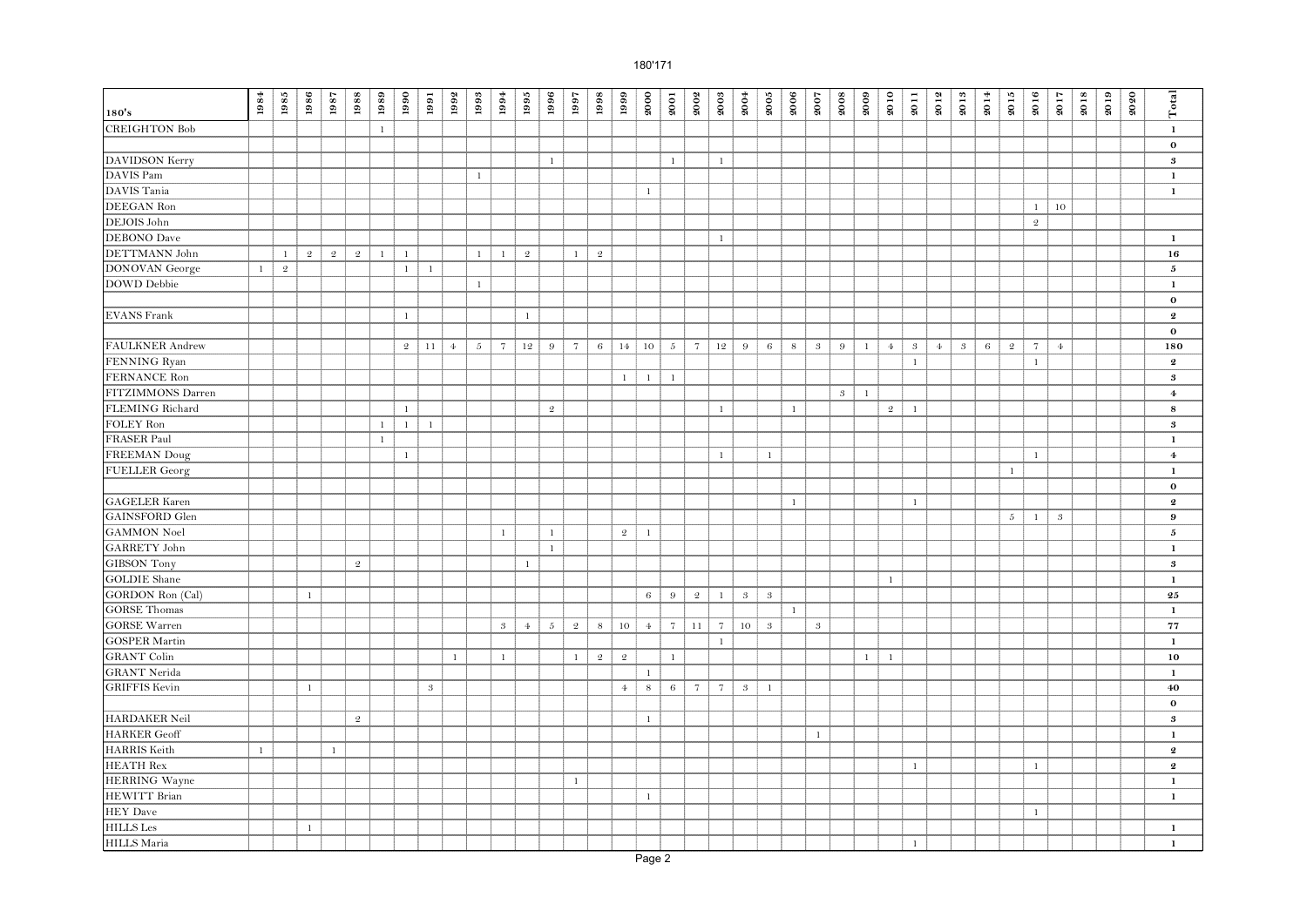| 180's                  | $\boldsymbol{1984}$ | 1985         | 1986           | 1987           | 1988           | 1989         | 1990           | 1991          | 1992            | 1993         | 1994                | $1995\,$       | 1996           | 1997            | 1998           | 1999           | 2000           | 2001            | 2002                | 2003            | 2004       | $\boldsymbol{2005}$ | 2006         | 2007             | 2008          | 2009         | 2010           | 2011         | 2012           | 2013       | 2014    | 2015         | 2016           | 2017                 | 2018 | 2019 | 2020 | Total                      |
|------------------------|---------------------|--------------|----------------|----------------|----------------|--------------|----------------|---------------|-----------------|--------------|---------------------|----------------|----------------|-----------------|----------------|----------------|----------------|-----------------|---------------------|-----------------|------------|---------------------|--------------|------------------|---------------|--------------|----------------|--------------|----------------|------------|---------|--------------|----------------|----------------------|------|------|------|----------------------------|
| <b>CREIGHTON Bob</b>   |                     |              |                |                |                | $\mathbf{1}$ |                |               |                 |              |                     |                |                |                 |                |                |                |                 |                     |                 |            |                     |              |                  |               |              |                |              |                |            |         |              |                |                      |      |      |      | $\mathbf 1$                |
|                        |                     |              |                |                |                |              |                |               |                 |              |                     |                |                |                 |                |                |                |                 |                     |                 |            |                     |              |                  |               |              |                |              |                |            |         |              |                |                      |      |      |      | $\mathbf 0$                |
| DAVIDSON Kerry         |                     |              |                |                |                |              |                |               |                 |              |                     |                | $\mathbf{1}$   |                 |                |                |                | $\mathbf{1}$    |                     | $\mathbf{1}$    |            |                     |              |                  |               |              |                |              |                |            |         |              |                |                      |      |      |      | $\boldsymbol{3}$           |
| DAVIS Pam              |                     |              |                |                |                |              |                |               |                 | $\mathbf{1}$ |                     |                |                |                 |                |                |                |                 |                     |                 |            |                     |              |                  |               |              |                |              |                |            |         |              |                |                      |      |      |      | $\mathbf{1}$               |
| DAVIS Tania            |                     |              |                |                |                |              |                |               |                 |              |                     |                |                |                 |                |                | $1\,$          |                 |                     |                 |            |                     |              |                  |               |              |                |              |                |            |         |              |                |                      |      |      |      | $\mathbf 1$                |
| DEEGAN Ron             |                     |              |                |                |                |              |                |               |                 |              |                     |                |                |                 |                |                |                |                 |                     |                 |            |                     |              |                  |               |              |                |              |                |            |         |              | $\mathbf{1}$   | $10\,$               |      |      |      |                            |
| DEJOIS John            |                     |              |                |                |                |              |                |               |                 |              |                     |                |                |                 |                |                |                |                 |                     |                 |            |                     |              |                  |               |              |                |              |                |            |         |              | $\mathfrak{D}$ |                      |      |      |      |                            |
| <b>DEBONO</b> Dave     |                     |              |                |                |                |              |                |               |                 |              |                     |                |                |                 |                |                |                |                 |                     | $\mathbf{1}$    |            |                     |              |                  |               |              |                |              |                |            |         |              |                |                      |      |      |      | $\mathbf{1}$               |
| DETTMANN John          |                     | $\mathbf{1}$ | $\mathfrak{D}$ | $\mathfrak{D}$ | $\mathfrak{D}$ | $\mathbf{1}$ | $\overline{1}$ |               |                 | $\mathbf{1}$ | $\mathbf{1}$        | $\mathfrak{D}$ |                | $\mathbf{1}$    | -2             |                |                |                 |                     |                 |            |                     |              |                  |               |              |                |              |                |            |         |              |                |                      |      |      |      | 16                         |
| <b>DONOVAN</b> George  | $\mathbf{1}$        | $\mathbf 2$  |                |                |                |              | 1              | $\mathbf{1}$  |                 |              |                     |                |                |                 |                |                |                |                 |                     |                 |            |                     |              |                  |               |              |                |              |                |            |         |              |                |                      |      |      |      | $\mathbf 5$                |
| DOWD Debbie            |                     |              |                |                |                |              |                |               |                 | $\mathbf{1}$ |                     |                |                |                 |                |                |                |                 |                     |                 |            |                     |              |                  |               |              |                |              |                |            |         |              |                |                      |      |      |      | $\mathbf{1}$               |
|                        |                     |              |                |                |                |              |                |               |                 |              |                     |                |                |                 |                |                |                |                 |                     |                 |            |                     |              |                  |               |              |                |              |                |            |         |              |                |                      |      |      |      | $\mathbf 0$                |
| EVANS Frank            |                     |              |                |                |                |              | $\overline{1}$ |               |                 |              |                     | $\mathbf{1}$   |                |                 |                |                |                |                 |                     |                 |            |                     |              |                  |               |              |                |              |                |            |         |              |                |                      |      |      |      | $\boldsymbol{2}$           |
|                        |                     |              |                |                |                |              |                |               |                 |              |                     |                |                |                 |                |                |                |                 |                     |                 |            |                     |              |                  |               |              |                |              |                |            |         |              |                |                      |      |      |      | $\mathbf{o}$               |
| <b>FAULKNER</b> Andrew |                     |              |                |                |                |              | $\overline{2}$ | 11            | $4\overline{ }$ | $\sqrt{5}$   | $\scriptstyle\rm 7$ | 12             | $9\,$          | $7\phantom{.0}$ | $\sqrt{6}$     | 14             | 10             | $5\phantom{.0}$ | $\scriptstyle\rm 7$ | 12              | $9\,$      | 6                   | $8\,$        | $\sqrt{3}$       | 9             | $\mathbf{1}$ | $4\phantom{1}$ | $\sqrt{3}$   | 4 <sup>1</sup> | $\sqrt{3}$ | $\,6\,$ | $\sqrt{2}$   | $\overline{7}$ | $\Phi$               |      |      |      | 180                        |
| FENNING Ryan           |                     |              |                |                |                |              |                |               |                 |              |                     |                |                |                 |                |                |                |                 |                     |                 |            |                     |              |                  |               |              |                | $\,1\,$      |                |            |         |              | $\mathbf{1}$   |                      |      |      |      | $\boldsymbol{2}$           |
| FERNANCE Ron           |                     |              |                |                |                |              |                |               |                 |              |                     |                |                |                 |                | $\mathbf{1}$   | $\mathbf{1}$   | $\mathbf{1}$    |                     |                 |            |                     |              |                  |               |              |                |              |                |            |         |              |                |                      |      |      |      | $\boldsymbol{\mathcal{S}}$ |
| FITZIMMONS Darren      |                     |              |                |                |                |              |                |               |                 |              |                     |                |                |                 |                |                |                |                 |                     |                 |            |                     |              |                  | $\mathcal{S}$ | $\mathbf{1}$ |                |              |                |            |         |              |                |                      |      |      |      | $\overline{4}$             |
| FLEMING Richard        |                     |              |                |                |                |              | $\mathbf{1}$   |               |                 |              |                     |                | $\mathfrak{D}$ |                 |                |                |                |                 |                     | $\mathbf{1}$    |            |                     | $\mathbf{1}$ |                  |               |              | $\mathfrak{2}$ | $\mathbf{1}$ |                |            |         |              |                |                      |      |      |      | 8                          |
| FOLEY Ron              |                     |              |                |                |                | $\mathbf{1}$ | $\mathbf{1}$   | $\mathbf{1}$  |                 |              |                     |                |                |                 |                |                |                |                 |                     |                 |            |                     |              |                  |               |              |                |              |                |            |         |              |                |                      |      |      |      | $\boldsymbol{\mathcal{S}}$ |
| <b>FRASER Paul</b>     |                     |              |                |                |                | $1\,$        |                |               |                 |              |                     |                |                |                 |                |                |                |                 |                     |                 |            |                     |              |                  |               |              |                |              |                |            |         |              |                |                      |      |      |      | $\mathbf 1$                |
| <b>FREEMAN Doug</b>    |                     |              |                |                |                |              | $\mathbf{1}$   |               |                 |              |                     |                |                |                 |                |                |                |                 |                     | $\mathbf{1}$    |            | $\mathbf{1}$        |              |                  |               |              |                |              |                |            |         |              | $\mathbf{1}$   |                      |      |      |      | $\overline{4}$             |
| <b>FUELLER</b> Georg   |                     |              |                |                |                |              |                |               |                 |              |                     |                |                |                 |                |                |                |                 |                     |                 |            |                     |              |                  |               |              |                |              |                |            |         | $\mathbf{1}$ |                |                      |      |      |      | $\mathbf{1}$               |
|                        |                     |              |                |                |                |              |                |               |                 |              |                     |                |                |                 |                |                |                |                 |                     |                 |            |                     |              |                  |               |              |                |              |                |            |         |              |                |                      |      |      |      | $\bf{o}$                   |
| <b>GAGELER</b> Karen   |                     |              |                |                |                |              |                |               |                 |              |                     |                |                |                 |                |                |                |                 |                     |                 |            |                     | $\mathbf{1}$ |                  |               |              |                | $\mathbf{1}$ |                |            |         |              |                |                      |      |      |      | $\boldsymbol{2}$           |
| <b>GAINSFORD</b> Glen  |                     |              |                |                |                |              |                |               |                 |              |                     |                |                |                 |                |                |                |                 |                     |                 |            |                     |              |                  |               |              |                |              |                |            |         | $5 -$        | $\mathbf{1}$   | $\boldsymbol{\beta}$ |      |      |      | $\bf{9}$                   |
| <b>GAMMON</b> Noel     |                     |              |                |                |                |              |                |               |                 |              | $\mathbf{1}$        |                | $\mathbf{1}$   |                 |                | $\overline{2}$ | $\mathbf{1}$   |                 |                     |                 |            |                     |              |                  |               |              |                |              |                |            |         |              |                |                      |      |      |      | 5                          |
| GARRETY John           |                     |              |                |                |                |              |                |               |                 |              |                     |                | $\mathbf{1}$   |                 |                |                |                |                 |                     |                 |            |                     |              |                  |               |              |                |              |                |            |         |              |                |                      |      |      |      | $\mathbf{1}$               |
| <b>GIBSON</b> Tony     |                     |              |                |                | $\mathbf 2$    |              |                |               |                 |              |                     | $\mathbf{1}$   |                |                 |                |                |                |                 |                     |                 |            |                     |              |                  |               |              |                |              |                |            |         |              |                |                      |      |      |      | $\bf{3}$                   |
| <b>GOLDIE</b> Shane    |                     |              |                |                |                |              |                |               |                 |              |                     |                |                |                 |                |                |                |                 |                     |                 |            |                     |              |                  |               |              | $1\,$          |              |                |            |         |              |                |                      |      |      |      | $\mathbf 1$                |
| GORDON Ron (Cal)       |                     |              | $\mathbf{1}$   |                |                |              |                |               |                 |              |                     |                |                |                 |                |                | $\,6\,$        | $9\,$           | $\mathbf 2$         | $\mathbf{1}$    | $\sqrt{3}$ | $\boldsymbol{3}$    |              |                  |               |              |                |              |                |            |         |              |                |                      |      |      |      | $\bf 25$                   |
| <b>GORSE</b> Thomas    |                     |              |                |                |                |              |                |               |                 |              |                     |                |                |                 |                |                |                |                 |                     |                 |            |                     | $\mathbf{1}$ |                  |               |              |                |              |                |            |         |              |                |                      |      |      |      | $\mathbf{1}$               |
| <b>GORSE Warren</b>    |                     |              |                |                |                |              |                |               |                 |              | $\mathcal{S}$       | $\overline{4}$ | $\sqrt{5}$     | $\mathfrak{2}$  | $\,$ 8 $\,$    | 10             | $\overline{4}$ | $7 -$           | 11                  | $7\phantom{.0}$ | $10\,$     | $\mathbf{3}$        |              | $\boldsymbol{s}$ |               |              |                |              |                |            |         |              |                |                      |      |      |      | 77                         |
| <b>GOSPER Martin</b>   |                     |              |                |                |                |              |                |               |                 |              |                     |                |                |                 |                |                |                |                 |                     | $\mathbf{1}$    |            |                     |              |                  |               |              |                |              |                |            |         |              |                |                      |      |      |      | $\mathbf 1$                |
| <b>GRANT</b> Colin     |                     |              |                |                |                |              |                |               | $\mathbf{1}$    |              | $\mathbf{1}$        |                |                | $\mathbf{1}$    | $\overline{2}$ | $\mathfrak{2}$ |                | $\mathbf{1}$    |                     |                 |            |                     |              |                  |               | $\mathbf{1}$ | $\mathbf{1}$   |              |                |            |         |              |                |                      |      |      |      | $10\,$                     |
| <b>GRANT Nerida</b>    |                     |              |                |                |                |              |                |               |                 |              |                     |                |                |                 |                |                | $\mathbf{1}$   |                 |                     |                 |            |                     |              |                  |               |              |                |              |                |            |         |              |                |                      |      |      |      | $\mathbf{1}$               |
| <b>GRIFFIS Kevin</b>   |                     |              | $\mathbf{1}$   |                |                |              |                | $\mathcal{S}$ |                 |              |                     |                |                |                 |                | $\overline{4}$ | $\bf8$         | $6 -$           | $7\phantom{.0}$     | $7\overline{ }$ | $\sqrt{3}$ | $\mathbf{1}$        |              |                  |               |              |                |              |                |            |         |              |                |                      |      |      |      | 40                         |
|                        |                     |              |                |                |                |              |                |               |                 |              |                     |                |                |                 |                |                |                |                 |                     |                 |            |                     |              |                  |               |              |                |              |                |            |         |              |                |                      |      |      |      | $\mathbf 0$                |
| HARDAKER Neil          |                     |              |                |                | $\mathfrak{D}$ |              |                |               |                 |              |                     |                |                |                 |                |                | $1\,$          |                 |                     |                 |            |                     |              |                  |               |              |                |              |                |            |         |              |                |                      |      |      |      | $\boldsymbol{3}$           |
| <b>HARKER</b> Geoff    |                     |              |                |                |                |              |                |               |                 |              |                     |                |                |                 |                |                |                |                 |                     |                 |            |                     |              | $\mathbf{1}$     |               |              |                |              |                |            |         |              |                |                      |      |      |      | $\mathbf{1}$               |
| HARRIS Keith           | $\mathbf{1}$        |              |                | $\mathbf{1}$   |                |              |                |               |                 |              |                     |                |                |                 |                |                |                |                 |                     |                 |            |                     |              |                  |               |              |                |              |                |            |         |              |                |                      |      |      |      | $\boldsymbol{2}$           |
| <b>HEATH Rex</b>       |                     |              |                |                |                |              |                |               |                 |              |                     |                |                |                 |                |                |                |                 |                     |                 |            |                     |              |                  |               |              |                | <sup>1</sup> |                |            |         |              | $\mathbf{1}$   |                      |      |      |      | $\boldsymbol{2}$           |
| <b>HERRING</b> Wayne   |                     |              |                |                |                |              |                |               |                 |              |                     |                |                | $\mathbf{1}$    |                |                |                |                 |                     |                 |            |                     |              |                  |               |              |                |              |                |            |         |              |                |                      |      |      |      | $\mathbf 1$                |
| <b>HEWITT Brian</b>    |                     |              |                |                |                |              |                |               |                 |              |                     |                |                |                 |                |                | $\mathbf{1}$   |                 |                     |                 |            |                     |              |                  |               |              |                |              |                |            |         |              |                |                      |      |      |      | $\mathbf{1}$               |
| <b>HEY</b> Dave        |                     |              |                |                |                |              |                |               |                 |              |                     |                |                |                 |                |                |                |                 |                     |                 |            |                     |              |                  |               |              |                |              |                |            |         |              | $\mathbf{1}$   |                      |      |      |      |                            |
| HILLS Les              |                     |              | $\mathbf{1}$   |                |                |              |                |               |                 |              |                     |                |                |                 |                |                |                |                 |                     |                 |            |                     |              |                  |               |              |                |              |                |            |         |              |                |                      |      |      |      | $\mathbf{1}$               |
| <b>HILLS</b> Maria     |                     |              |                |                |                |              |                |               |                 |              |                     |                |                |                 |                |                |                |                 |                     |                 |            |                     |              |                  |               |              |                | $\mathbf{1}$ |                |            |         |              |                |                      |      |      |      | $\mathbf 1$                |
|                        |                     |              |                |                |                |              |                |               |                 |              |                     |                |                |                 |                |                | Page 2         |                 |                     |                 |            |                     |              |                  |               |              |                |              |                |            |         |              |                |                      |      |      |      |                            |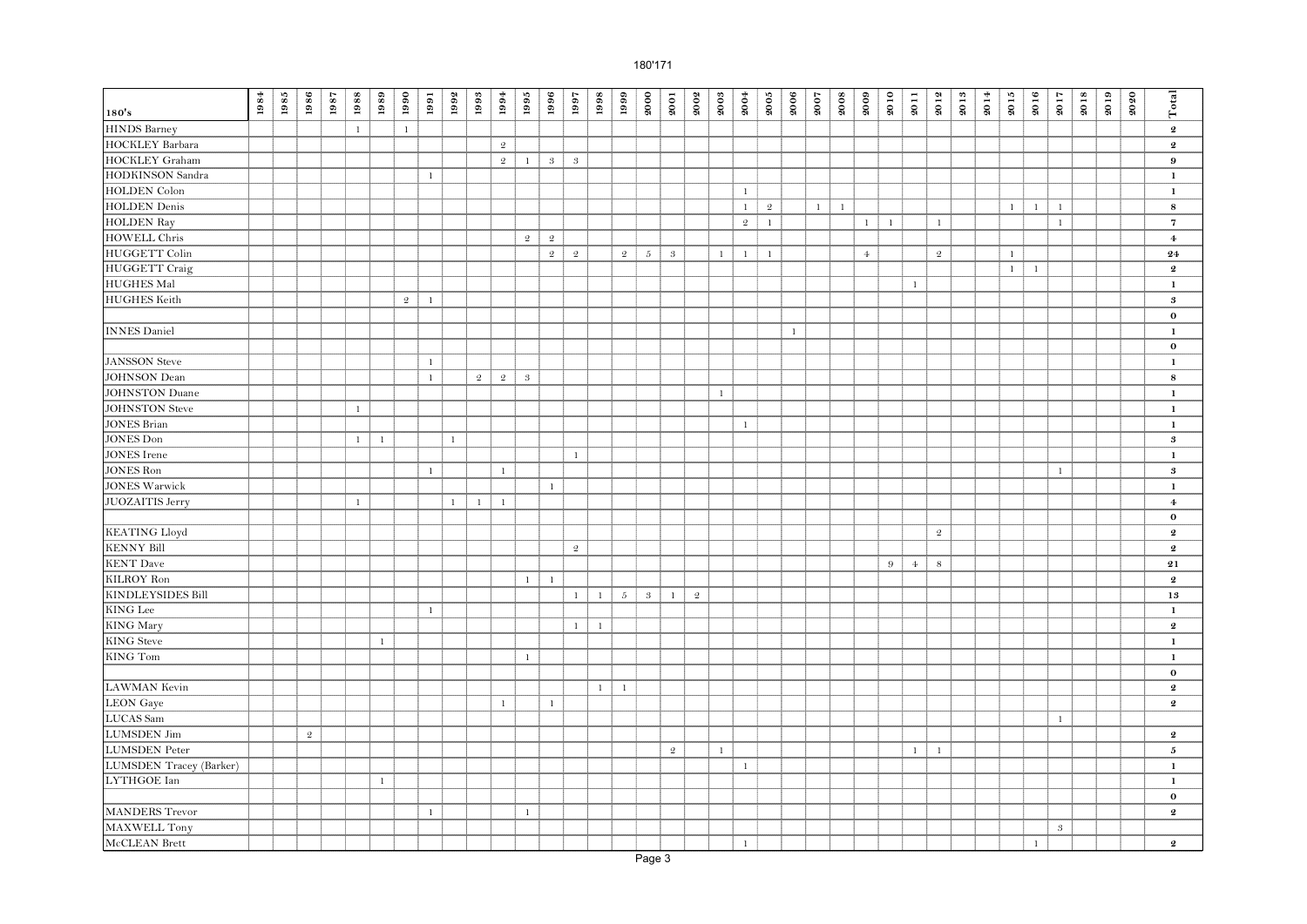| 180's                    | 1984 | 1985 | 1986           | 1987 | 1988         | 1989         | 1990           | 1991         | 1992         | $1993\,$       | $1994\,$       | 1995           | 1996                 | 1997             | 1998         | 1999            | 2000             | 2001           | 2002           | 2003         | 2004           | $\boldsymbol{2005}$ | 2006         | 2007     | 2008           | 2009         | 2010         | 2011           | 2012           | 2013 | 2014 | 2015         | 2016         | 2017          | 2018 | 2019 | 2020 | Total                      |
|--------------------------|------|------|----------------|------|--------------|--------------|----------------|--------------|--------------|----------------|----------------|----------------|----------------------|------------------|--------------|-----------------|------------------|----------------|----------------|--------------|----------------|---------------------|--------------|----------|----------------|--------------|--------------|----------------|----------------|------|------|--------------|--------------|---------------|------|------|------|----------------------------|
| <b>HINDS</b> Barney      |      |      |                |      | $\mathbf{1}$ |              | $\mathbf{1}$   |              |              |                |                |                |                      |                  |              |                 |                  |                |                |              |                |                     |              |          |                |              |              |                |                |      |      |              |              |               |      |      |      | $\pmb{2}$                  |
| <b>HOCKLEY</b> Barbara   |      |      |                |      |              |              |                |              |              |                | $\overline{2}$ |                |                      |                  |              |                 |                  |                |                |              |                |                     |              |          |                |              |              |                |                |      |      |              |              |               |      |      |      | $\boldsymbol{2}$           |
| HOCKLEY Graham           |      |      |                |      |              |              |                |              |              |                | $\overline{2}$ | $\mathbf{1}$   | $\boldsymbol{\beta}$ | $\boldsymbol{3}$ |              |                 |                  |                |                |              |                |                     |              |          |                |              |              |                |                |      |      |              |              |               |      |      |      | 9                          |
| HODKINSON Sandra         |      |      |                |      |              |              |                | $1\,$        |              |                |                |                |                      |                  |              |                 |                  |                |                |              |                |                     |              |          |                |              |              |                |                |      |      |              |              |               |      |      |      | $\mathbf 1$                |
| <b>HOLDEN</b> Colon      |      |      |                |      |              |              |                |              |              |                |                |                |                      |                  |              |                 |                  |                |                |              | $\mathbf{1}$   |                     |              |          |                |              |              |                |                |      |      |              |              |               |      |      |      | $\mathbf{1}$               |
| <b>HOLDEN</b> Denis      |      |      |                |      |              |              |                |              |              |                |                |                |                      |                  |              |                 |                  |                |                |              | $\mathbf{1}$   | 2                   |              | $1 \mid$ | $\overline{1}$ |              |              |                |                |      |      | $\mathbf{1}$ | $\mathbf{1}$ | $\mathbf{1}$  |      |      |      | $\bf8$                     |
| <b>HOLDEN Ray</b>        |      |      |                |      |              |              |                |              |              |                |                |                |                      |                  |              |                 |                  |                |                |              | $\mathfrak{2}$ | $\mathbf{1}$        |              |          |                | $\mathbf{1}$ | $\mathbf{1}$ |                | $\mathbf{1}$   |      |      |              |              | $\mathbf{1}$  |      |      |      | $\overline{\bf 7}$         |
| <b>HOWELL Chris</b>      |      |      |                |      |              |              |                |              |              |                |                | $\mathfrak{2}$ | $\mathfrak{D}$       |                  |              |                 |                  |                |                |              |                |                     |              |          |                |              |              |                |                |      |      |              |              |               |      |      |      | $\bf{4}$                   |
| <b>HUGGETT Colin</b>     |      |      |                |      |              |              |                |              |              |                |                |                | $\mathfrak{D}$       | $\mathbf 2$      |              | $\mathfrak{D}$  | $5 -$            | $\mathbf{3}$   |                | $\mathbf{1}$ | $\mathbf{1}$   | $\overline{1}$      |              |          |                | $4\epsilon$  |              |                | $\mathfrak{2}$ |      |      | $\mathbf{1}$ |              |               |      |      |      | 24                         |
| <b>HUGGETT</b> Craig     |      |      |                |      |              |              |                |              |              |                |                |                |                      |                  |              |                 |                  |                |                |              |                |                     |              |          |                |              |              |                |                |      |      | $\mathbf{1}$ | $\mathbf{1}$ |               |      |      |      | $\boldsymbol{2}$           |
| <b>HUGHES Mal</b>        |      |      |                |      |              |              |                |              |              |                |                |                |                      |                  |              |                 |                  |                |                |              |                |                     |              |          |                |              |              | $\mathbf{1}$   |                |      |      |              |              |               |      |      |      | $\mathbf{1}$               |
| <b>HUGHES</b> Keith      |      |      |                |      |              |              | $\mathfrak{D}$ | $\mathbf{1}$ |              |                |                |                |                      |                  |              |                 |                  |                |                |              |                |                     |              |          |                |              |              |                |                |      |      |              |              |               |      |      |      | $\boldsymbol{\mathcal{S}}$ |
|                          |      |      |                |      |              |              |                |              |              |                |                |                |                      |                  |              |                 |                  |                |                |              |                |                     |              |          |                |              |              |                |                |      |      |              |              |               |      |      |      | $\mathbf 0$                |
| <b>INNES Daniel</b>      |      |      |                |      |              |              |                |              |              |                |                |                |                      |                  |              |                 |                  |                |                |              |                |                     | $\mathbf{1}$ |          |                |              |              |                |                |      |      |              |              |               |      |      |      | $\mathbf{1}$               |
|                          |      |      |                |      |              |              |                |              |              |                |                |                |                      |                  |              |                 |                  |                |                |              |                |                     |              |          |                |              |              |                |                |      |      |              |              |               |      |      |      | $\bf{0}$                   |
| <b>JANSSON</b> Steve     |      |      |                |      |              |              |                | $\mathbf{1}$ |              |                |                |                |                      |                  |              |                 |                  |                |                |              |                |                     |              |          |                |              |              |                |                |      |      |              |              |               |      |      |      | $\mathbf{1}$               |
| <b>JOHNSON</b> Dean      |      |      |                |      |              |              |                | $\mathbf{1}$ |              | $\mathfrak{2}$ | $\overline{2}$ | $\sqrt{3}$     |                      |                  |              |                 |                  |                |                |              |                |                     |              |          |                |              |              |                |                |      |      |              |              |               |      |      |      | $\bf8$                     |
| <b>JOHNSTON Duane</b>    |      |      |                |      |              |              |                |              |              |                |                |                |                      |                  |              |                 |                  |                |                | $\mathbf{1}$ |                |                     |              |          |                |              |              |                |                |      |      |              |              |               |      |      |      | $\mathbf 1$                |
| <b>JOHNSTON Steve</b>    |      |      |                |      | $\mathbf{1}$ |              |                |              |              |                |                |                |                      |                  |              |                 |                  |                |                |              |                |                     |              |          |                |              |              |                |                |      |      |              |              |               |      |      |      | $\mathbf 1$                |
| <b>JONES Brian</b>       |      |      |                |      |              |              |                |              |              |                |                |                |                      |                  |              |                 |                  |                |                |              | $\mathbf{1}$   |                     |              |          |                |              |              |                |                |      |      |              |              |               |      |      |      | $\mathbf 1$                |
| JONES Don                |      |      |                |      | $\mathbf{1}$ | $\mathbf{1}$ |                |              | $1\,$        |                |                |                |                      |                  |              |                 |                  |                |                |              |                |                     |              |          |                |              |              |                |                |      |      |              |              |               |      |      |      | $\bf{3}$                   |
| <b>JONES</b> Irene       |      |      |                |      |              |              |                |              |              |                |                |                |                      | $\mathbf{1}$     |              |                 |                  |                |                |              |                |                     |              |          |                |              |              |                |                |      |      |              |              |               |      |      |      | $\mathbf 1$                |
| <b>JONES Ron</b>         |      |      |                |      |              |              |                | $\mathbf{1}$ |              |                | $\mathbf{1}$   |                |                      |                  |              |                 |                  |                |                |              |                |                     |              |          |                |              |              |                |                |      |      |              |              | $\mathbf{1}$  |      |      |      | $\bf{3}$                   |
| <b>JONES Warwick</b>     |      |      |                |      |              |              |                |              |              |                |                |                | $\mathbf{1}$         |                  |              |                 |                  |                |                |              |                |                     |              |          |                |              |              |                |                |      |      |              |              |               |      |      |      | $\mathbf 1$                |
| <b>JUOZAITIS</b> Jerry   |      |      |                |      | $\mathbf{1}$ |              |                |              | $\mathbf{1}$ | $\mathbf{1}$   | $\mathbf{1}$   |                |                      |                  |              |                 |                  |                |                |              |                |                     |              |          |                |              |              |                |                |      |      |              |              |               |      |      |      | $\bf{4}$                   |
|                          |      |      |                |      |              |              |                |              |              |                |                |                |                      |                  |              |                 |                  |                |                |              |                |                     |              |          |                |              |              |                |                |      |      |              |              |               |      |      |      | $\mathbf 0$                |
| <b>KEATING Lloyd</b>     |      |      |                |      |              |              |                |              |              |                |                |                |                      |                  |              |                 |                  |                |                |              |                |                     |              |          |                |              |              |                | $\overline{2}$ |      |      |              |              |               |      |      |      | $\boldsymbol{2}$           |
| <b>KENNY Bill</b>        |      |      |                |      |              |              |                |              |              |                |                |                |                      | $\sqrt{2}$       |              |                 |                  |                |                |              |                |                     |              |          |                |              |              |                |                |      |      |              |              |               |      |      |      | $\pmb{2}$                  |
| <b>KENT</b> Dave         |      |      |                |      |              |              |                |              |              |                |                |                |                      |                  |              |                 |                  |                |                |              |                |                     |              |          |                |              | 9            | $4\phantom{1}$ | $\,$ 8 $\,$    |      |      |              |              |               |      |      |      | $\bf 21$                   |
| <b>KILROY Ron</b>        |      |      |                |      |              |              |                |              |              |                |                | $\mathbf{1}$   | $\mathbf{1}$         |                  |              |                 |                  |                |                |              |                |                     |              |          |                |              |              |                |                |      |      |              |              |               |      |      |      | $\boldsymbol{2}$           |
| <b>KINDLEYSIDES Bill</b> |      |      |                |      |              |              |                |              |              |                |                |                |                      | $\mathbf{1}$     | $\mathbf{1}$ | $5\overline{)}$ | $\boldsymbol{3}$ | $\mathbf{1}$   | $\mathfrak{2}$ |              |                |                     |              |          |                |              |              |                |                |      |      |              |              |               |      |      |      | 13                         |
| KING Lee                 |      |      |                |      |              |              |                | $\mathbf{1}$ |              |                |                |                |                      |                  |              |                 |                  |                |                |              |                |                     |              |          |                |              |              |                |                |      |      |              |              |               |      |      |      | $\mathbf 1$                |
| <b>KING</b> Mary         |      |      |                |      |              |              |                |              |              |                |                |                |                      | $\mathbf{1}$     | $\mathbf{1}$ |                 |                  |                |                |              |                |                     |              |          |                |              |              |                |                |      |      |              |              |               |      |      |      | $\pmb{2}$                  |
| <b>KING</b> Steve        |      |      |                |      |              | $\mathbf{1}$ |                |              |              |                |                |                |                      |                  |              |                 |                  |                |                |              |                |                     |              |          |                |              |              |                |                |      |      |              |              |               |      |      |      | 1                          |
| <b>KING Tom</b>          |      |      |                |      |              |              |                |              |              |                |                | $\mathbf{1}$   |                      |                  |              |                 |                  |                |                |              |                |                     |              |          |                |              |              |                |                |      |      |              |              |               |      |      |      | $\mathbf{1}$               |
|                          |      |      |                |      |              |              |                |              |              |                |                |                |                      |                  |              |                 |                  |                |                |              |                |                     |              |          |                |              |              |                |                |      |      |              |              |               |      |      |      | $\mathbf 0$                |
| <b>LAWMAN</b> Kevin      |      |      |                |      |              |              |                |              |              |                |                |                |                      |                  | 1            | $\mathbf{1}$    |                  |                |                |              |                |                     |              |          |                |              |              |                |                |      |      |              |              |               |      |      |      | $\pmb{2}$                  |
| <b>LEON</b> Gaye         |      |      |                |      |              |              |                |              |              |                | $\mathbf{1}$   |                | $\mathbf{1}$         |                  |              |                 |                  |                |                |              |                |                     |              |          |                |              |              |                |                |      |      |              |              |               |      |      |      | $\boldsymbol{2}$           |
| LUCAS Sam                |      |      |                |      |              |              |                |              |              |                |                |                |                      |                  |              |                 |                  |                |                |              |                |                     |              |          |                |              |              |                |                |      |      |              |              | $\mathbf{1}$  |      |      |      |                            |
| <b>LUMSDEN</b> Jim       |      |      | $\mathfrak{2}$ |      |              |              |                |              |              |                |                |                |                      |                  |              |                 |                  |                |                |              |                |                     |              |          |                |              |              |                |                |      |      |              |              |               |      |      |      | $\pmb{2}$                  |
| <b>LUMSDEN</b> Peter     |      |      |                |      |              |              |                |              |              |                |                |                |                      |                  |              |                 |                  | $\overline{2}$ |                | $\mathbf{1}$ |                |                     |              |          |                |              |              | $\mathbf{1}$   | $\mathbf{1}$   |      |      |              |              |               |      |      |      | $\mathbf 5$                |
| LUMSDEN Tracey (Barker)  |      |      |                |      |              |              |                |              |              |                |                |                |                      |                  |              |                 |                  |                |                |              | $\mathbf{1}$   |                     |              |          |                |              |              |                |                |      |      |              |              |               |      |      |      | $\mathbf{1}$               |
| LYTHGOE Ian              |      |      |                |      |              | $\mathbf{1}$ |                |              |              |                |                |                |                      |                  |              |                 |                  |                |                |              |                |                     |              |          |                |              |              |                |                |      |      |              |              |               |      |      |      | $\mathbf{1}$               |
|                          |      |      |                |      |              |              |                |              |              |                |                |                |                      |                  |              |                 |                  |                |                |              |                |                     |              |          |                |              |              |                |                |      |      |              |              |               |      |      |      | $\bf{0}$                   |
| <b>MANDERS</b> Trevor    |      |      |                |      |              |              |                | $\mathbf{1}$ |              |                |                | $\mathbf{1}$   |                      |                  |              |                 |                  |                |                |              |                |                     |              |          |                |              |              |                |                |      |      |              |              |               |      |      |      | $\pmb{2}$                  |
| MAXWELL Tony             |      |      |                |      |              |              |                |              |              |                |                |                |                      |                  |              |                 |                  |                |                |              |                |                     |              |          |                |              |              |                |                |      |      |              |              | $\mathcal{S}$ |      |      |      |                            |
| McCLEAN Brett            |      |      |                |      |              |              |                |              |              |                |                |                |                      |                  |              |                 |                  |                |                |              | $\mathbf{1}$   |                     |              |          |                |              |              |                |                |      |      |              | $\mathbf{1}$ |               |      |      |      | $\boldsymbol{2}$           |
|                          |      |      |                |      |              |              |                |              |              |                |                |                |                      |                  |              |                 | Page 3           |                |                |              |                |                     |              |          |                |              |              |                |                |      |      |              |              |               |      |      |      |                            |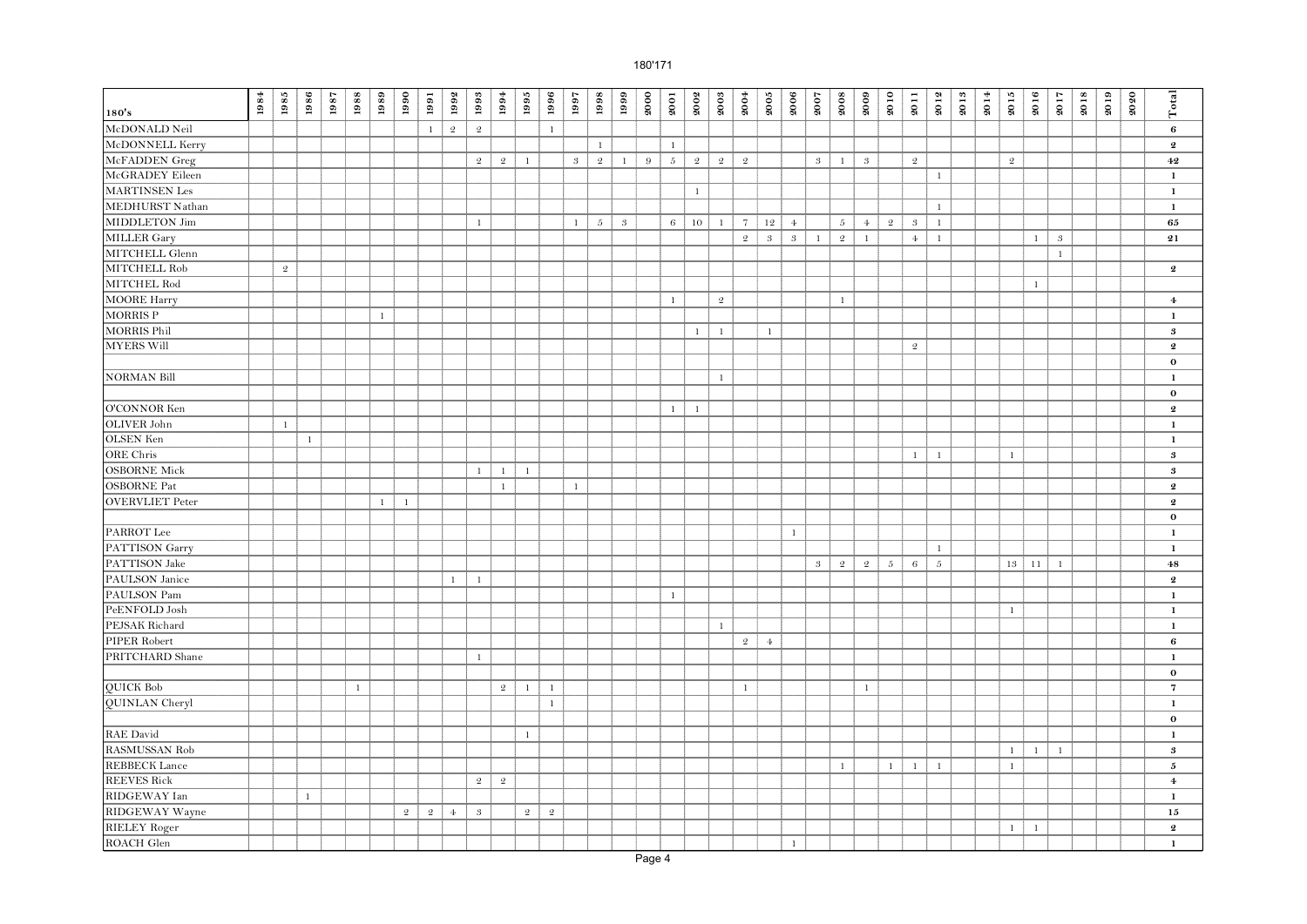| 180's                  | $\boldsymbol{1984}$ | 1985           | 1986         | 1987 | 1988         | 1989         | 1990           | 1991         | 1992           | 1993           | 1994           | 1995           | 1996           | 1997         | 1998            | 1999           | 2000 | 2001         | 2002           | 2003           | 2004           | $\boldsymbol{2005}$ | 2006                       | 2007                      | 2008           | 2009           | 2010         | 2011           | 2012         | 2013 | $\boldsymbol{2014}$ | 2015         | 2016         | 2017         | 2018 | 2019 | 2020 | Total                      |
|------------------------|---------------------|----------------|--------------|------|--------------|--------------|----------------|--------------|----------------|----------------|----------------|----------------|----------------|--------------|-----------------|----------------|------|--------------|----------------|----------------|----------------|---------------------|----------------------------|---------------------------|----------------|----------------|--------------|----------------|--------------|------|---------------------|--------------|--------------|--------------|------|------|------|----------------------------|
| McDONALD Neil          |                     |                |              |      |              |              |                | $\mathbf{1}$ | $\mathfrak{2}$ | $\mathfrak{2}$ |                |                | $1\,$          |              |                 |                |      |              |                |                |                |                     |                            |                           |                |                |              |                |              |      |                     |              |              |              |      |      |      | $\bf{6}$                   |
| McDONNELL Kerry        |                     |                |              |      |              |              |                |              |                |                |                |                |                |              | $\mathbf{1}$    |                |      | $\mathbf{1}$ |                |                |                |                     |                            |                           |                |                |              |                |              |      |                     |              |              |              |      |      |      | $\boldsymbol{2}$           |
| McFADDEN Greg          |                     |                |              |      |              |              |                |              |                | $\mathfrak{D}$ | $\overline{2}$ | $\mathbf{1}$   |                | $\mathbf{3}$ | $\overline{2}$  | $\mathbf{1}$   | 9    | $5 -$        | $\overline{2}$ | $\overline{2}$ | $\mathfrak{2}$ |                     |                            | $3 -$                     | $\mathbf{1}$   | $\overline{3}$ |              | $\mathfrak{2}$ |              |      |                     | $\sqrt{2}$   |              |              |      |      |      | $\bf{42}$                  |
| McGRADEY Eileen        |                     |                |              |      |              |              |                |              |                |                |                |                |                |              |                 |                |      |              |                |                |                |                     |                            |                           |                |                |              |                | $\mathbf{1}$ |      |                     |              |              |              |      |      |      | $\mathbf{1}$               |
| <b>MARTINSEN</b> Les   |                     |                |              |      |              |              |                |              |                |                |                |                |                |              |                 |                |      |              | $\mathbf{1}$   |                |                |                     |                            |                           |                |                |              |                |              |      |                     |              |              |              |      |      |      | $\mathbf{1}$               |
| MEDHURST Nathan        |                     |                |              |      |              |              |                |              |                |                |                |                |                |              |                 |                |      |              |                |                |                |                     |                            |                           |                |                |              |                | $\mathbf{1}$ |      |                     |              |              |              |      |      |      | $\mathbf{1}$               |
| MIDDLETON Jim          |                     |                |              |      |              |              |                |              |                | $\mathbf{1}$   |                |                |                | $\mathbf{1}$ | $5\overline{ }$ | $\overline{3}$ |      | 6            | 10             | $\mathbf{1}$   | $\overline{7}$ | 12                  | $\overline{4}$             |                           | $5 -$          | $4 -$          | -2           | $\sqrt{3}$     | $\mathbf{1}$ |      |                     |              |              |              |      |      |      | 65                         |
| MILLER Gary            |                     |                |              |      |              |              |                |              |                |                |                |                |                |              |                 |                |      |              |                |                | $\mathfrak{2}$ | $\sqrt{3}$          | $\boldsymbol{\mathcal{S}}$ | $\mathbf{1}$              | $\mathfrak{2}$ | $\mathbf{1}$   |              | $4\cdot$       | $\,1\,$      |      |                     |              | $1$ $\,$     | $\sqrt{3}$   |      |      |      | $\bf 21$                   |
| MITCHELL Glenn         |                     |                |              |      |              |              |                |              |                |                |                |                |                |              |                 |                |      |              |                |                |                |                     |                            |                           |                |                |              |                |              |      |                     |              |              | $\mathbf{1}$ |      |      |      |                            |
| MITCHELL Rob           |                     | $\mathfrak{D}$ |              |      |              |              |                |              |                |                |                |                |                |              |                 |                |      |              |                |                |                |                     |                            |                           |                |                |              |                |              |      |                     |              |              |              |      |      |      | $\boldsymbol{2}$           |
| MITCHEL Rod            |                     |                |              |      |              |              |                |              |                |                |                |                |                |              |                 |                |      |              |                |                |                |                     |                            |                           |                |                |              |                |              |      |                     |              | $\mathbf{1}$ |              |      |      |      |                            |
| <b>MOORE Harry</b>     |                     |                |              |      |              |              |                |              |                |                |                |                |                |              |                 |                |      | $\mathbf{1}$ |                | $\mathfrak{D}$ |                |                     |                            |                           | $\mathbf{1}$   |                |              |                |              |      |                     |              |              |              |      |      |      | $\bf{4}$                   |
| <b>MORRIS P</b>        |                     |                |              |      |              | $\mathbf{1}$ |                |              |                |                |                |                |                |              |                 |                |      |              |                |                |                |                     |                            |                           |                |                |              |                |              |      |                     |              |              |              |      |      |      | $\mathbf{1}$               |
| <b>MORRIS Phil</b>     |                     |                |              |      |              |              |                |              |                |                |                |                |                |              |                 |                |      |              | $\mathbf{1}$   | $\mathbf{1}$   |                | $\mathbf{1}$        |                            |                           |                |                |              |                |              |      |                     |              |              |              |      |      |      | $\boldsymbol{\mathcal{S}}$ |
| <b>MYERS Will</b>      |                     |                |              |      |              |              |                |              |                |                |                |                |                |              |                 |                |      |              |                |                |                |                     |                            |                           |                |                |              | $\mathfrak{2}$ |              |      |                     |              |              |              |      |      |      | $\pmb{2}$                  |
|                        |                     |                |              |      |              |              |                |              |                |                |                |                |                |              |                 |                |      |              |                |                |                |                     |                            |                           |                |                |              |                |              |      |                     |              |              |              |      |      |      | $\mathbf 0$                |
| <b>NORMAN Bill</b>     |                     |                |              |      |              |              |                |              |                |                |                |                |                |              |                 |                |      |              |                | $\mathbf{1}$   |                |                     |                            |                           |                |                |              |                |              |      |                     |              |              |              |      |      |      | $\mathbf{1}$               |
|                        |                     |                |              |      |              |              |                |              |                |                |                |                |                |              |                 |                |      |              |                |                |                |                     |                            |                           |                |                |              |                |              |      |                     |              |              |              |      |      |      | $\mathbf 0$                |
| O'CONNOR Ken           |                     |                |              |      |              |              |                |              |                |                |                |                |                |              |                 |                |      | $\mathbf{1}$ | $\mathbf{1}$   |                |                |                     |                            |                           |                |                |              |                |              |      |                     |              |              |              |      |      |      | $\pmb{2}$                  |
| OLIVER John            |                     | $\mathbf{1}$   |              |      |              |              |                |              |                |                |                |                |                |              |                 |                |      |              |                |                |                |                     |                            |                           |                |                |              |                |              |      |                     |              |              |              |      |      |      | $\mathbf{1}$               |
| OLSEN Ken              |                     |                | $\mathbf{1}$ |      |              |              |                |              |                |                |                |                |                |              |                 |                |      |              |                |                |                |                     |                            |                           |                |                |              |                |              |      |                     |              |              |              |      |      |      | $\mathbf 1$                |
| ORE Chris              |                     |                |              |      |              |              |                |              |                |                |                |                |                |              |                 |                |      |              |                |                |                |                     |                            |                           |                |                |              | $\mathbf{1}$   | $\mathbf{1}$ |      |                     | $\mathbf{1}$ |              |              |      |      |      | $\bf{3}$                   |
| <b>OSBORNE Mick</b>    |                     |                |              |      |              |              |                |              |                | 1              | $\mathbf{1}$   | $\mathbf{1}$   |                |              |                 |                |      |              |                |                |                |                     |                            |                           |                |                |              |                |              |      |                     |              |              |              |      |      |      | $\bf{3}$                   |
| <b>OSBORNE</b> Pat     |                     |                |              |      |              |              |                |              |                |                | $\mathbf{1}$   |                |                | $\mathbf{1}$ |                 |                |      |              |                |                |                |                     |                            |                           |                |                |              |                |              |      |                     |              |              |              |      |      |      | $\pmb{2}$                  |
| <b>OVERVLIET Peter</b> |                     |                |              |      |              | $\mathbf{1}$ | $\mathbf{1}$   |              |                |                |                |                |                |              |                 |                |      |              |                |                |                |                     |                            |                           |                |                |              |                |              |      |                     |              |              |              |      |      |      | $\boldsymbol{2}$           |
|                        |                     |                |              |      |              |              |                |              |                |                |                |                |                |              |                 |                |      |              |                |                |                |                     |                            |                           |                |                |              |                |              |      |                     |              |              |              |      |      |      | $\bf{0}$                   |
| PARROT Lee             |                     |                |              |      |              |              |                |              |                |                |                |                |                |              |                 |                |      |              |                |                |                |                     | $\mathbf{1}$               |                           |                |                |              |                |              |      |                     |              |              |              |      |      |      | $\mathbf{1}$               |
| PATTISON Garry         |                     |                |              |      |              |              |                |              |                |                |                |                |                |              |                 |                |      |              |                |                |                |                     |                            |                           |                |                |              |                | $\mathbf{1}$ |      |                     |              |              |              |      |      |      | $\mathbf{1}$               |
| PATTISON Jake          |                     |                |              |      |              |              |                |              |                |                |                |                |                |              |                 |                |      |              |                |                |                |                     |                            | $\boldsymbol{\mathrm{3}}$ | $\sqrt{2}$     | $\mathfrak{2}$ | $\sqrt{5}$   | $\,6\,$        | $\sqrt{5}$   |      |                     | 13           | 11           | $\mathbf{1}$ |      |      |      | $\bf 48$                   |
| PAULSON Janice         |                     |                |              |      |              |              |                |              | $\mathbf{1}$   | $\mathbf{1}$   |                |                |                |              |                 |                |      |              |                |                |                |                     |                            |                           |                |                |              |                |              |      |                     |              |              |              |      |      |      | $\boldsymbol{2}$           |
| PAULSON Pam            |                     |                |              |      |              |              |                |              |                |                |                |                |                |              |                 |                |      | $\mathbf{1}$ |                |                |                |                     |                            |                           |                |                |              |                |              |      |                     |              |              |              |      |      |      | $\mathbf 1$                |
| PeENFOLD Josh          |                     |                |              |      |              |              |                |              |                |                |                |                |                |              |                 |                |      |              |                |                |                |                     |                            |                           |                |                |              |                |              |      |                     | $\mathbf{1}$ |              |              |      |      |      | $\mathbf{1}$               |
| PEJSAK Richard         |                     |                |              |      |              |              |                |              |                |                |                |                |                |              |                 |                |      |              |                | $\mathbf{1}$   |                |                     |                            |                           |                |                |              |                |              |      |                     |              |              |              |      |      |      | $\mathbf{1}$               |
| PIPER Robert           |                     |                |              |      |              |              |                |              |                |                |                |                |                |              |                 |                |      |              |                |                | $\mathfrak{D}$ | 4 <sub>1</sub>      |                            |                           |                |                |              |                |              |      |                     |              |              |              |      |      |      | $\bf{6}$                   |
| PRITCHARD Shane        |                     |                |              |      |              |              |                |              |                | $\mathbf{1}$   |                |                |                |              |                 |                |      |              |                |                |                |                     |                            |                           |                |                |              |                |              |      |                     |              |              |              |      |      |      | $\mathbf 1$                |
|                        |                     |                |              |      |              |              |                |              |                |                |                |                |                |              |                 |                |      |              |                |                |                |                     |                            |                           |                |                |              |                |              |      |                     |              |              |              |      |      |      | $\mathbf 0$                |
| <b>OUICK Bob</b>       |                     |                |              |      | $\mathbf{1}$ |              |                |              |                |                | $\overline{2}$ | $\mathbf{1}$   | $\mathbf{1}$   |              |                 |                |      |              |                |                | $\mathbf{1}$   |                     |                            |                           |                | $\mathbf{1}$   |              |                |              |      |                     |              |              |              |      |      |      | $\overline{7}$             |
| QUINLAN Cheryl         |                     |                |              |      |              |              |                |              |                |                |                |                | $\mathbf{1}$   |              |                 |                |      |              |                |                |                |                     |                            |                           |                |                |              |                |              |      |                     |              |              |              |      |      |      | $\mathbf 1$                |
|                        |                     |                |              |      |              |              |                |              |                |                |                |                |                |              |                 |                |      |              |                |                |                |                     |                            |                           |                |                |              |                |              |      |                     |              |              |              |      |      |      | $\mathbf 0$                |
| <b>RAE</b> David       |                     |                |              |      |              |              |                |              |                |                |                | $\mathbf{1}$   |                |              |                 |                |      |              |                |                |                |                     |                            |                           |                |                |              |                |              |      |                     |              |              |              |      |      |      | $\mathbf{1}$               |
| RASMUSSAN Rob          |                     |                |              |      |              |              |                |              |                |                |                |                |                |              |                 |                |      |              |                |                |                |                     |                            |                           |                |                |              |                |              |      |                     | $\mathbf{1}$ | $\mathbf{1}$ | $\mathbf{1}$ |      |      |      | $\bf{3}$                   |
| <b>REBBECK</b> Lance   |                     |                |              |      |              |              |                |              |                |                |                |                |                |              |                 |                |      |              |                |                |                |                     |                            |                           | $\mathbf{1}$   |                | $\mathbf{1}$ | $\mathbf{1}$   | $\mathbf{1}$ |      |                     | $\mathbf{1}$ |              |              |      |      |      | 5                          |
| <b>REEVES Rick</b>     |                     |                |              |      |              |              |                |              |                | $\overline{2}$ | $\overline{2}$ |                |                |              |                 |                |      |              |                |                |                |                     |                            |                           |                |                |              |                |              |      |                     |              |              |              |      |      |      | $\bf{4}$                   |
| RIDGEWAY Ian           |                     |                | $\mathbf{1}$ |      |              |              |                |              |                |                |                |                |                |              |                 |                |      |              |                |                |                |                     |                            |                           |                |                |              |                |              |      |                     |              |              |              |      |      |      | $\mathbf{1}$               |
| RIDGEWAY Wayne         |                     |                |              |      |              |              | $\overline{2}$ | -2           | 4 <sub>1</sub> | 3              |                | $\mathfrak{2}$ | $\mathfrak{2}$ |              |                 |                |      |              |                |                |                |                     |                            |                           |                |                |              |                |              |      |                     |              |              |              |      |      |      | 15                         |
| <b>RIELEY Roger</b>    |                     |                |              |      |              |              |                |              |                |                |                |                |                |              |                 |                |      |              |                |                |                |                     |                            |                           |                |                |              |                |              |      |                     | $\mathbf{1}$ | $\mathbf{1}$ |              |      |      |      | $\boldsymbol{2}$           |
| ROACH Glen             |                     |                |              |      |              |              |                |              |                |                |                |                |                |              |                 |                |      |              |                |                |                |                     | $\mathbf{1}$               |                           |                |                |              |                |              |      |                     |              |              |              |      |      |      | $\mathbf{1}$               |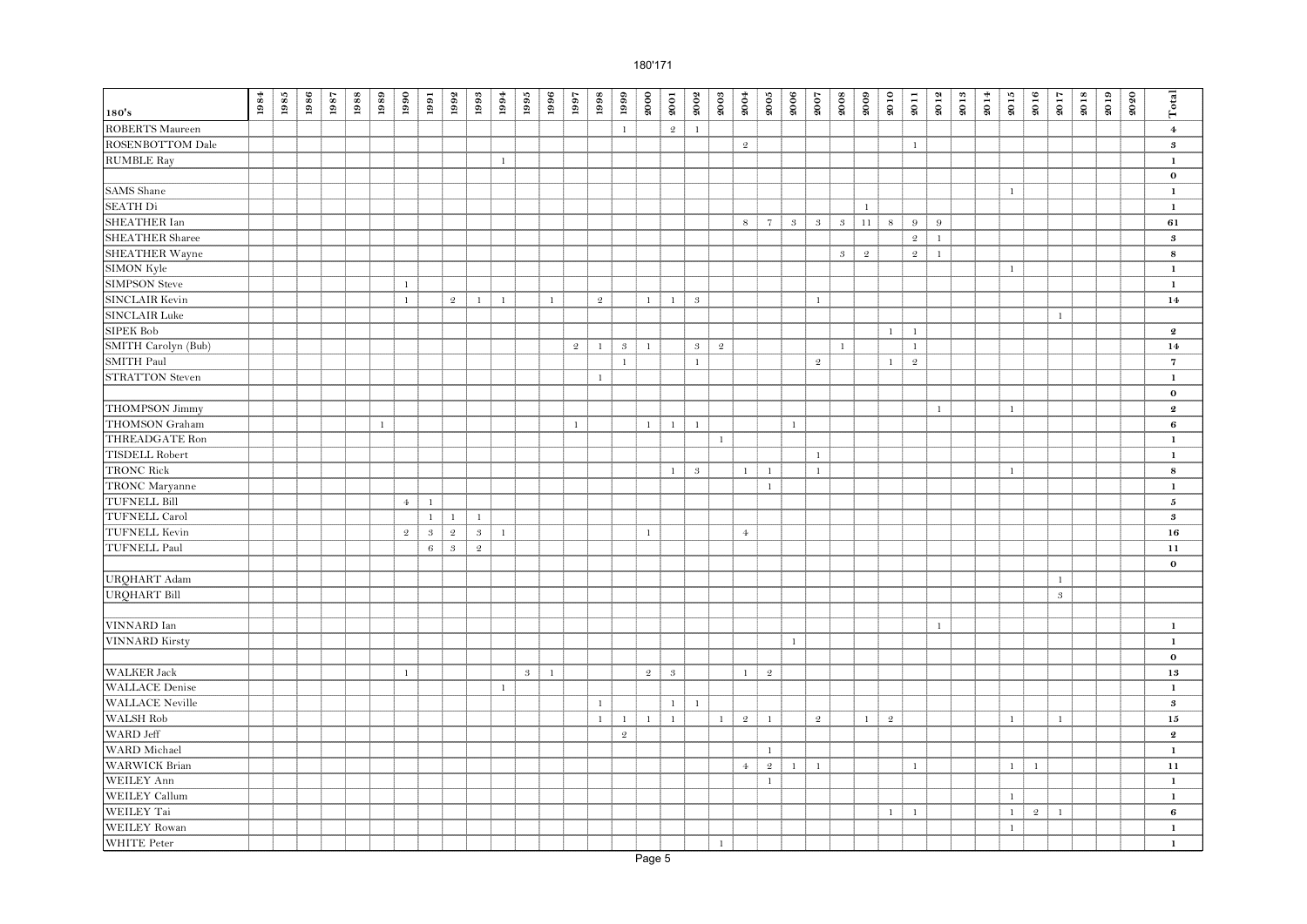|                        | $\boldsymbol{1984}$ | 1985 | 1986 | 1987 | 1988 | 1989         | 1990           | 1991                      | 1992           | 1993           | 1994         | 1995         | 1996         | 1997           | 1998           | 1999           | 2000           | 2001         | 2002         | 2003           | 2004           | $\boldsymbol{2005}$ | 2006         | 2007           | 2008         | 2009         | 2010           | 2011           | 2012         | 2013 | 2014 | 2015         | 2016         | 2017           | 2018 | 2019 | 2020 | Total            |
|------------------------|---------------------|------|------|------|------|--------------|----------------|---------------------------|----------------|----------------|--------------|--------------|--------------|----------------|----------------|----------------|----------------|--------------|--------------|----------------|----------------|---------------------|--------------|----------------|--------------|--------------|----------------|----------------|--------------|------|------|--------------|--------------|----------------|------|------|------|------------------|
| 180's                  |                     |      |      |      |      |              |                |                           |                |                |              |              |              |                |                |                |                |              |              |                |                |                     |              |                |              |              |                |                |              |      |      |              |              |                |      |      |      |                  |
| <b>ROBERTS</b> Maureen |                     |      |      |      |      |              |                |                           |                |                |              |              |              |                |                | $\mathbf{1}$   |                | $\sqrt{2}$   | $\mathbf{1}$ |                |                |                     |              |                |              |              |                |                |              |      |      |              |              |                |      |      |      | $\bf{4}$         |
| ROSENBOTTOM Dale       |                     |      |      |      |      |              |                |                           |                |                |              |              |              |                |                |                |                |              |              |                | $\mathfrak{D}$ |                     |              |                |              |              |                | $\mathbf{1}$   |              |      |      |              |              |                |      |      |      | $\boldsymbol{3}$ |
| <b>RUMBLE Ray</b>      |                     |      |      |      |      |              |                |                           |                |                | $\mathbf{1}$ |              |              |                |                |                |                |              |              |                |                |                     |              |                |              |              |                |                |              |      |      |              |              |                |      |      |      | $\mathbf{1}$     |
|                        |                     |      |      |      |      |              |                |                           |                |                |              |              |              |                |                |                |                |              |              |                |                |                     |              |                |              |              |                |                |              |      |      |              |              |                |      |      |      | $\mathbf 0$      |
| <b>SAMS</b> Shane      |                     |      |      |      |      |              |                |                           |                |                |              |              |              |                |                |                |                |              |              |                |                |                     |              |                |              |              |                |                |              |      |      | $\mathbf{1}$ |              |                |      |      |      | $\mathbf{1}$     |
| <b>SEATH Di</b>        |                     |      |      |      |      |              |                |                           |                |                |              |              |              |                |                |                |                |              |              |                |                |                     |              |                |              | $\mathbf{1}$ |                |                |              |      |      |              |              |                |      |      |      | $\mathbf 1$      |
| <b>SHEATHER Ian</b>    |                     |      |      |      |      |              |                |                           |                |                |              |              |              |                |                |                |                |              |              |                | $\,$ 8 $\,$    | $7\overline{ }$     | $\mathbf{3}$ | $3 -$          | $3 -$        | 11           | $\,$ 8 $\,$    | $9\,$          | 9            |      |      |              |              |                |      |      |      | 61               |
| <b>SHEATHER Sharee</b> |                     |      |      |      |      |              |                |                           |                |                |              |              |              |                |                |                |                |              |              |                |                |                     |              |                |              |              |                | $\mathfrak{2}$ | $\mathbf{1}$ |      |      |              |              |                |      |      |      | $\bf{3}$         |
| <b>SHEATHER Wayne</b>  |                     |      |      |      |      |              |                |                           |                |                |              |              |              |                |                |                |                |              |              |                |                |                     |              |                | $\sqrt{3}$   | $\mathbf 2$  |                | $\mathfrak{D}$ | $\,$ 1 $\,$  |      |      |              |              |                |      |      |      | ${\bf 8}$        |
| SIMON Kyle             |                     |      |      |      |      |              |                |                           |                |                |              |              |              |                |                |                |                |              |              |                |                |                     |              |                |              |              |                |                |              |      |      | $\mathbf{1}$ |              |                |      |      |      | $\mathbf 1$      |
| <b>SIMPSON Steve</b>   |                     |      |      |      |      |              | $\mathbf{1}$   |                           |                |                |              |              |              |                |                |                |                |              |              |                |                |                     |              |                |              |              |                |                |              |      |      |              |              |                |      |      |      | $\mathbf{1}$     |
| SINCLAIR Kevin         |                     |      |      |      |      |              | $\mathbf{1}$   |                           | $\mathfrak{D}$ | $\mathbf{1}$   | $\mathbf{1}$ |              | $\mathbf{1}$ |                | $\mathfrak{2}$ |                | $\mathbf{1}$   | $\mathbf{1}$ | $\sqrt{3}$   |                |                |                     |              | $\mathbf{1}$   |              |              |                |                |              |      |      |              |              |                |      |      |      | 14               |
| <b>SINCLAIR Luke</b>   |                     |      |      |      |      |              |                |                           |                |                |              |              |              |                |                |                |                |              |              |                |                |                     |              |                |              |              |                |                |              |      |      |              |              | $\mathbf{1}$   |      |      |      |                  |
| <b>SIPEK Bob</b>       |                     |      |      |      |      |              |                |                           |                |                |              |              |              |                |                |                |                |              |              |                |                |                     |              |                |              |              | $\mathbf{1}$   | $\mathbf{1}$   |              |      |      |              |              |                |      |      |      | $\boldsymbol{2}$ |
| SMITH Carolyn (Bub)    |                     |      |      |      |      |              |                |                           |                |                |              |              |              | $\mathfrak{2}$ | $\mathbf{1}$   | $\sqrt{3}$     | $\mathbf{1}$   |              | $\sqrt{3}$   | $\mathfrak{2}$ |                |                     |              |                | $\mathbf{1}$ |              |                | $\mathbf{1}$   |              |      |      |              |              |                |      |      |      | 14               |
| SMITH Paul             |                     |      |      |      |      |              |                |                           |                |                |              |              |              |                |                | $\mathbf{1}$   |                |              | $\mathbf{1}$ |                |                |                     |              | $\mathfrak{D}$ |              |              | $\mathbf{1}$   | $\sqrt{2}$     |              |      |      |              |              |                |      |      |      | $\overline{7}$   |
| <b>STRATTON</b> Steven |                     |      |      |      |      |              |                |                           |                |                |              |              |              |                | $\mathbf{1}$   |                |                |              |              |                |                |                     |              |                |              |              |                |                |              |      |      |              |              |                |      |      |      | $\mathbf{1}$     |
|                        |                     |      |      |      |      |              |                |                           |                |                |              |              |              |                |                |                |                |              |              |                |                |                     |              |                |              |              |                |                |              |      |      |              |              |                |      |      |      | $\bf{0}$         |
| <b>THOMPSON Jimmy</b>  |                     |      |      |      |      |              |                |                           |                |                |              |              |              |                |                |                |                |              |              |                |                |                     |              |                |              |              |                |                | $\mathbf{1}$ |      |      | $\mathbf{1}$ |              |                |      |      |      | $\bf{2}$         |
| THOMSON Graham         |                     |      |      |      |      | $\mathbf{1}$ |                |                           |                |                |              |              |              | $\mathbf{1}$   |                |                | $1\,$          | $\mathbf{1}$ | <sup>1</sup> |                |                |                     | $\mathbf{1}$ |                |              |              |                |                |              |      |      |              |              |                |      |      |      | 6                |
| <b>THREADGATE Ron</b>  |                     |      |      |      |      |              |                |                           |                |                |              |              |              |                |                |                |                |              |              | $1\,$          |                |                     |              |                |              |              |                |                |              |      |      |              |              |                |      |      |      | $\mathbf{1}$     |
| <b>TISDELL Robert</b>  |                     |      |      |      |      |              |                |                           |                |                |              |              |              |                |                |                |                |              |              |                |                |                     |              | $\,1$          |              |              |                |                |              |      |      |              |              |                |      |      |      | $\mathbf 1$      |
| <b>TRONC Rick</b>      |                     |      |      |      |      |              |                |                           |                |                |              |              |              |                |                |                |                | $\mathbf{1}$ | $\sqrt{3}$   |                | $\mathbf{1}$   | $\mathbf{1}$        |              | $\mathbf{1}$   |              |              |                |                |              |      |      | $\mathbf{1}$ |              |                |      |      |      | ${\bf 8}$        |
| TRONC Maryanne         |                     |      |      |      |      |              |                |                           |                |                |              |              |              |                |                |                |                |              |              |                |                | $\mathbf{1}$        |              |                |              |              |                |                |              |      |      |              |              |                |      |      |      | $\mathbf{1}$     |
| <b>TUFNELL Bill</b>    |                     |      |      |      |      |              | $4 -$          | $\mathbf{1}$              |                |                |              |              |              |                |                |                |                |              |              |                |                |                     |              |                |              |              |                |                |              |      |      |              |              |                |      |      |      | 5                |
| <b>TUFNELL Carol</b>   |                     |      |      |      |      |              |                | $\mathbf{1}$              | $\mathbf{1}$   | $\mathbf{1}$   |              |              |              |                |                |                |                |              |              |                |                |                     |              |                |              |              |                |                |              |      |      |              |              |                |      |      |      | $\bf{3}$         |
| <b>TUFNELL Kevin</b>   |                     |      |      |      |      |              | $\mathfrak{2}$ | $\boldsymbol{\mathrm{3}}$ | $\mathfrak{2}$ | $\sqrt{3}$     | $\mathbf{1}$ |              |              |                |                |                | $1\,$          |              |              |                | $4\phantom{1}$ |                     |              |                |              |              |                |                |              |      |      |              |              |                |      |      |      | 16               |
| <b>TUFNELL Paul</b>    |                     |      |      |      |      |              |                | $\,$ 6 $\,$               | $\sqrt{3}$     | $\mathfrak{2}$ |              |              |              |                |                |                |                |              |              |                |                |                     |              |                |              |              |                |                |              |      |      |              |              |                |      |      |      | 11               |
|                        |                     |      |      |      |      |              |                |                           |                |                |              |              |              |                |                |                |                |              |              |                |                |                     |              |                |              |              |                |                |              |      |      |              |              |                |      |      |      | $\bf{0}$         |
| URQHART Adam           |                     |      |      |      |      |              |                |                           |                |                |              |              |              |                |                |                |                |              |              |                |                |                     |              |                |              |              |                |                |              |      |      |              |              | $\mathbf{1}$   |      |      |      |                  |
| <b>URQHART Bill</b>    |                     |      |      |      |      |              |                |                           |                |                |              |              |              |                |                |                |                |              |              |                |                |                     |              |                |              |              |                |                |              |      |      |              |              | $\sqrt{3}$     |      |      |      |                  |
|                        |                     |      |      |      |      |              |                |                           |                |                |              |              |              |                |                |                |                |              |              |                |                |                     |              |                |              |              |                |                |              |      |      |              |              |                |      |      |      |                  |
| VINNARD Ian            |                     |      |      |      |      |              |                |                           |                |                |              |              |              |                |                |                |                |              |              |                |                |                     |              |                |              |              |                |                | $\mathbf{1}$ |      |      |              |              |                |      |      |      | $\mathbf 1$      |
| <b>VINNARD</b> Kirsty  |                     |      |      |      |      |              |                |                           |                |                |              |              |              |                |                |                |                |              |              |                |                |                     | $\mathbf{1}$ |                |              |              |                |                |              |      |      |              |              |                |      |      |      | $\mathbf{1}$     |
|                        |                     |      |      |      |      |              |                |                           |                |                |              |              |              |                |                |                |                |              |              |                |                |                     |              |                |              |              |                |                |              |      |      |              |              |                |      |      |      | $\bf{o}$         |
| <b>WALKER Jack</b>     |                     |      |      |      |      |              | $\mathbf{1}$   |                           |                |                |              | $\mathbf{3}$ | $\mathbf{1}$ |                |                |                | $\overline{2}$ | $\sqrt{3}$   |              |                | $\mathbf{1}$   | 2                   |              |                |              |              |                |                |              |      |      |              |              |                |      |      |      | 13               |
| <b>WALLACE</b> Denise  |                     |      |      |      |      |              |                |                           |                |                | $\mathbf{1}$ |              |              |                |                |                |                |              |              |                |                |                     |              |                |              |              |                |                |              |      |      |              |              |                |      |      |      | $\mathbf 1$      |
| <b>WALLACE Neville</b> |                     |      |      |      |      |              |                |                           |                |                |              |              |              |                | $\mathbf{1}$   |                |                | $1\,$        | $\mathbf{1}$ |                |                |                     |              |                |              |              |                |                |              |      |      |              |              |                |      |      |      | $\boldsymbol{3}$ |
| WALSH Rob              |                     |      |      |      |      |              |                |                           |                |                |              |              |              |                | $\mathbf{1}$   | $\mathbf{1}$   | $1\,$          | $\mathbf{1}$ |              | $\mathbf{1}$   | $\mathfrak{2}$ | $\mathbf{1}$        |              | $\mathfrak{2}$ |              | $\mathbf{1}$ | $\mathfrak{D}$ |                |              |      |      | $\mathbf{1}$ |              | 1              |      |      |      | 15               |
| WARD Jeff              |                     |      |      |      |      |              |                |                           |                |                |              |              |              |                |                | $\mathfrak{2}$ |                |              |              |                |                |                     |              |                |              |              |                |                |              |      |      |              |              |                |      |      |      | $\boldsymbol{2}$ |
| WARD Michael           |                     |      |      |      |      |              |                |                           |                |                |              |              |              |                |                |                |                |              |              |                |                | $\mathbf{1}$        |              |                |              |              |                |                |              |      |      |              |              |                |      |      |      | $\mathbf{1}$     |
| <b>WARWICK Brian</b>   |                     |      |      |      |      |              |                |                           |                |                |              |              |              |                |                |                |                |              |              |                | $\overline{4}$ | $\overline{2}$      | $\mathbf{1}$ | $1\,$          |              |              |                | $\mathbf{1}$   |              |      |      | $\mathbf{1}$ | $\mathbf{1}$ |                |      |      |      | 11               |
| <b>WEILEY Ann</b>      |                     |      |      |      |      |              |                |                           |                |                |              |              |              |                |                |                |                |              |              |                |                | $\mathbf{1}$        |              |                |              |              |                |                |              |      |      |              |              |                |      |      |      | $\mathbf{1}$     |
| WEILEY Callum          |                     |      |      |      |      |              |                |                           |                |                |              |              |              |                |                |                |                |              |              |                |                |                     |              |                |              |              |                |                |              |      |      | $\mathbf{1}$ |              |                |      |      |      | $\mathbf{1}$     |
| WEILEY Tai             |                     |      |      |      |      |              |                |                           |                |                |              |              |              |                |                |                |                |              |              |                |                |                     |              |                |              |              | $\mathbf{1}$   | $\mathbf{1}$   |              |      |      | $\mathbf{1}$ | $\mathbf 2$  | $\,$ $\,$ $\,$ |      |      |      | $\bf{6}$         |
| <b>WEILEY Rowan</b>    |                     |      |      |      |      |              |                |                           |                |                |              |              |              |                |                |                |                |              |              |                |                |                     |              |                |              |              |                |                |              |      |      | $\mathbf{1}$ |              |                |      |      |      | $\mathbf{1}$     |
| <b>WHITE</b> Peter     |                     |      |      |      |      |              |                |                           |                |                |              |              |              |                |                |                |                |              |              | $\mathbf{1}$   |                |                     |              |                |              |              |                |                |              |      |      |              |              |                |      |      |      | $\mathbf{1}$     |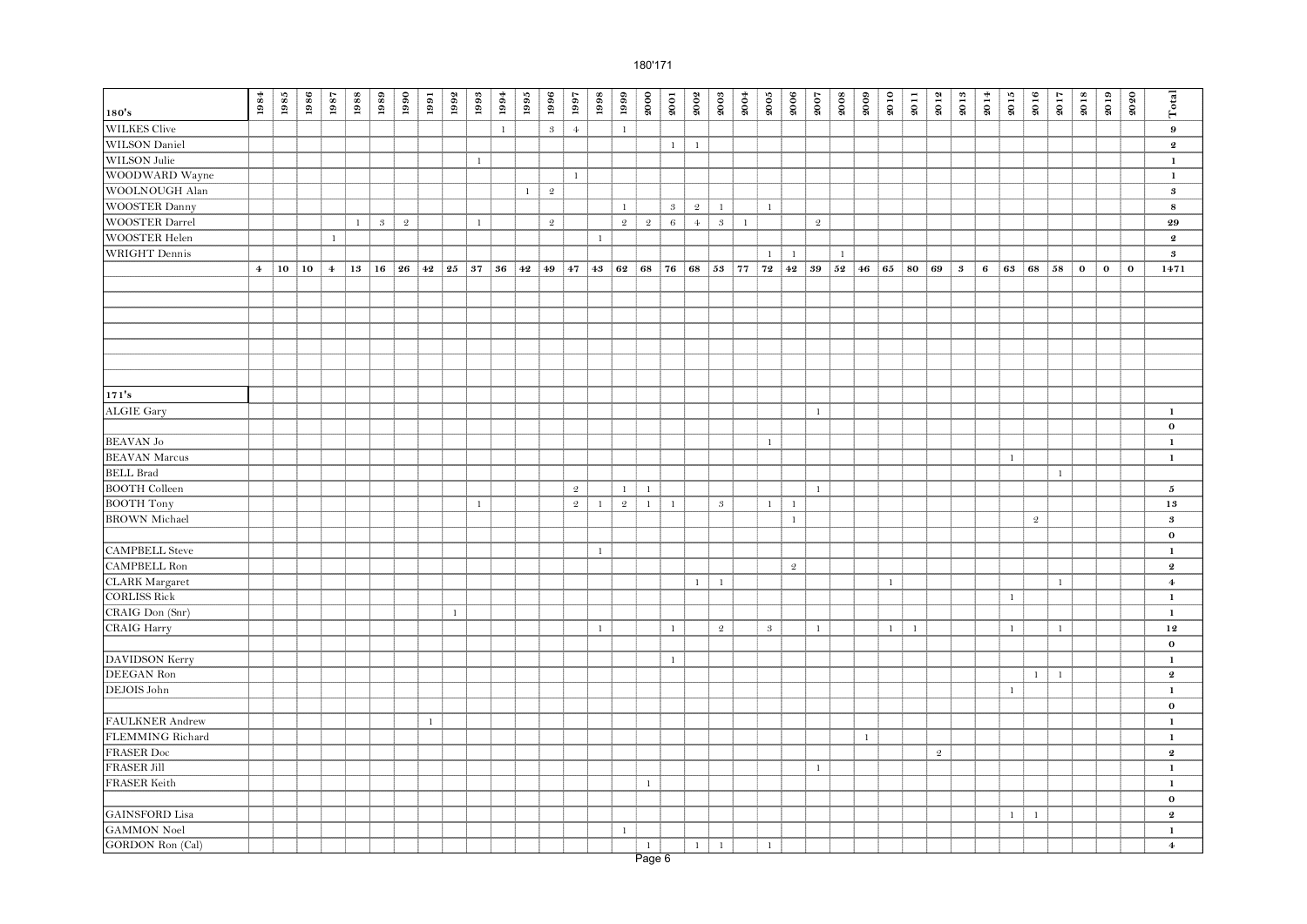|                        | $\boldsymbol{1984}$ | 1985 | 1986 | 1987           | 1988         | 1989       | 1990       | 1991         | 1992         | 1993          | $1994\,$     | $1995\,$     | 1996                        | 1997           | 1998         | 1999           | 2000         | 2001            | 2002         | 2003         | 2004         | $\boldsymbol{2005}$ | 2006         | 2007           | 2008         | 2009         | 2010         | 2011         | 2012           | 2013                       | 2014 | 2015         | 2016         | 2017         | 2018     | 2019        | 2020         | Total                      |
|------------------------|---------------------|------|------|----------------|--------------|------------|------------|--------------|--------------|---------------|--------------|--------------|-----------------------------|----------------|--------------|----------------|--------------|-----------------|--------------|--------------|--------------|---------------------|--------------|----------------|--------------|--------------|--------------|--------------|----------------|----------------------------|------|--------------|--------------|--------------|----------|-------------|--------------|----------------------------|
| 180's                  |                     |      |      |                |              |            |            |              |              |               |              |              |                             |                |              |                |              |                 |              |              |              |                     |              |                |              |              |              |              |                |                            |      |              |              |              |          |             |              |                            |
| <b>WILKES</b> Clive    |                     |      |      |                |              |            |            |              |              |               | $\mathbf{1}$ |              | $\ensuremath{\mathfrak{z}}$ | $\overline{4}$ |              | $\mathbf{1}$   |              |                 |              |              |              |                     |              |                |              |              |              |              |                |                            |      |              |              |              |          |             |              | $\boldsymbol{9}$           |
| WILSON Daniel          |                     |      |      |                |              |            |            |              |              |               |              |              |                             |                |              |                |              | $\mathbf{1}$    | $\mathbf{1}$ |              |              |                     |              |                |              |              |              |              |                |                            |      |              |              |              |          |             |              | $\boldsymbol{2}$           |
| WILSON Julie           |                     |      |      |                |              |            |            |              |              | $1\,$         |              |              |                             |                |              |                |              |                 |              |              |              |                     |              |                |              |              |              |              |                |                            |      |              |              |              |          |             |              | $\mathbf{1}$               |
| WOODWARD Wayne         |                     |      |      |                |              |            |            |              |              |               |              |              |                             | $\,1\,$        |              |                |              |                 |              |              |              |                     |              |                |              |              |              |              |                |                            |      |              |              |              |          |             |              | $\mathbf 1$                |
| WOOLNOUGH Alan         |                     |      |      |                |              |            |            |              |              |               |              | $\mathbf{1}$ | $\mathfrak{D}$              |                |              |                |              |                 |              |              |              |                     |              |                |              |              |              |              |                |                            |      |              |              |              |          |             |              | $\bf{3}$                   |
| <b>WOOSTER Danny</b>   |                     |      |      |                |              |            |            |              |              |               |              |              |                             |                |              | $\mathbf{1}$   |              | $\mathcal{S}$   | $\mathbf 2$  | $\mathbf{1}$ |              | $\mathbf{1}$        |              |                |              |              |              |              |                |                            |      |              |              |              |          |             |              | 8                          |
| <b>WOOSTER Darrel</b>  |                     |      |      |                | $\mathbf{1}$ | $\sqrt{3}$ | $\sqrt{2}$ |              |              | $1\,$         |              |              | $\mathfrak{2}$              |                |              | $\mathfrak{2}$ | $\mathbf 2$  | $6\phantom{.}6$ | $\bf{4}$     | $\sqrt{3}$   | $\mathbf{1}$ |                     |              | $\mathfrak{2}$ |              |              |              |              |                |                            |      |              |              |              |          |             |              | 29                         |
| <b>WOOSTER Helen</b>   |                     |      |      | $\,1\,$        |              |            |            |              |              |               |              |              |                             |                | $\mathbf{1}$ |                |              |                 |              |              |              |                     |              |                |              |              |              |              |                |                            |      |              |              |              |          |             |              | $\pmb{2}$                  |
| <b>WRIGHT</b> Dennis   |                     |      |      |                |              |            |            |              |              |               |              |              |                             |                |              |                |              |                 |              |              |              | $\mathbf{1}$        | $\mathbf{1}$ |                | $\mathbf{1}$ |              |              |              |                |                            |      |              |              |              |          |             |              | $\bf{3}$                   |
|                        | $\overline{4}$      | 10   | 10   | $\overline{4}$ | 13           | 16         | 26         | 42 25        |              | $37 \vert 36$ |              | 42           | 49                          | $ 47\rangle$   | 43 62        |                | 68           | 76              | 68           | 53           | 77           | 72                  | 42           | 39             | 52           | 46           | 65           | 80           | 69             | $\boldsymbol{\mathcal{S}}$ | 6    | 63           | 68           | 58           | $\bf{0}$ | $\mathbf 0$ | $\mathbf{o}$ | 1471                       |
|                        |                     |      |      |                |              |            |            |              |              |               |              |              |                             |                |              |                |              |                 |              |              |              |                     |              |                |              |              |              |              |                |                            |      |              |              |              |          |             |              |                            |
|                        |                     |      |      |                |              |            |            |              |              |               |              |              |                             |                |              |                |              |                 |              |              |              |                     |              |                |              |              |              |              |                |                            |      |              |              |              |          |             |              |                            |
|                        |                     |      |      |                |              |            |            |              |              |               |              |              |                             |                |              |                |              |                 |              |              |              |                     |              |                |              |              |              |              |                |                            |      |              |              |              |          |             |              |                            |
|                        |                     |      |      |                |              |            |            |              |              |               |              |              |                             |                |              |                |              |                 |              |              |              |                     |              |                |              |              |              |              |                |                            |      |              |              |              |          |             |              |                            |
|                        |                     |      |      |                |              |            |            |              |              |               |              |              |                             |                |              |                |              |                 |              |              |              |                     |              |                |              |              |              |              |                |                            |      |              |              |              |          |             |              |                            |
|                        |                     |      |      |                |              |            |            |              |              |               |              |              |                             |                |              |                |              |                 |              |              |              |                     |              |                |              |              |              |              |                |                            |      |              |              |              |          |             |              |                            |
|                        |                     |      |      |                |              |            |            |              |              |               |              |              |                             |                |              |                |              |                 |              |              |              |                     |              |                |              |              |              |              |                |                            |      |              |              |              |          |             |              |                            |
| 171's                  |                     |      |      |                |              |            |            |              |              |               |              |              |                             |                |              |                |              |                 |              |              |              |                     |              |                |              |              |              |              |                |                            |      |              |              |              |          |             |              |                            |
| <b>ALGIE Gary</b>      |                     |      |      |                |              |            |            |              |              |               |              |              |                             |                |              |                |              |                 |              |              |              |                     |              | $\mathbf{1}$   |              |              |              |              |                |                            |      |              |              |              |          |             |              | $\,$ 1 $\,$                |
|                        |                     |      |      |                |              |            |            |              |              |               |              |              |                             |                |              |                |              |                 |              |              |              |                     |              |                |              |              |              |              |                |                            |      |              |              |              |          |             |              | $\mathbf 0$                |
| <b>BEAVAN Jo</b>       |                     |      |      |                |              |            |            |              |              |               |              |              |                             |                |              |                |              |                 |              |              |              | $\mathbf{1}$        |              |                |              |              |              |              |                |                            |      |              |              |              |          |             |              | 1                          |
| <b>BEAVAN</b> Marcus   |                     |      |      |                |              |            |            |              |              |               |              |              |                             |                |              |                |              |                 |              |              |              |                     |              |                |              |              |              |              |                |                            |      | $\mathbf{1}$ |              |              |          |             |              | $\,$ 1 $\,$                |
| <b>BELL Brad</b>       |                     |      |      |                |              |            |            |              |              |               |              |              |                             |                |              |                |              |                 |              |              |              |                     |              |                |              |              |              |              |                |                            |      |              |              | $\mathbf{1}$ |          |             |              |                            |
| <b>BOOTH Colleen</b>   |                     |      |      |                |              |            |            |              |              |               |              |              |                             | $\sqrt{2}$     |              | $\mathbf{1}$   | $1\,$        |                 |              |              |              |                     |              | $\mathbf{1}$   |              |              |              |              |                |                            |      |              |              |              |          |             |              | 5                          |
| <b>BOOTH</b> Tony      |                     |      |      |                |              |            |            |              |              | $\,1\,$       |              |              |                             | $\mathbf 2$    | $1\,$        | $\mathfrak{2}$ | $1\,$        | $\,1\,$         |              | $\sqrt{3}$   |              | $\mathbf{1}$        | $\mathbf{1}$ |                |              |              |              |              |                |                            |      |              |              |              |          |             |              | 13                         |
| <b>BROWN</b> Michael   |                     |      |      |                |              |            |            |              |              |               |              |              |                             |                |              |                |              |                 |              |              |              |                     | $\mathbf{1}$ |                |              |              |              |              |                |                            |      |              | $\mathbf 2$  |              |          |             |              | $\boldsymbol{\mathcal{S}}$ |
|                        |                     |      |      |                |              |            |            |              |              |               |              |              |                             |                |              |                |              |                 |              |              |              |                     |              |                |              |              |              |              |                |                            |      |              |              |              |          |             |              | $\mathbf 0$                |
| <b>CAMPBELL Steve</b>  |                     |      |      |                |              |            |            |              |              |               |              |              |                             |                | $\mathbf{1}$ |                |              |                 |              |              |              |                     |              |                |              |              |              |              |                |                            |      |              |              |              |          |             |              | $\mathbf{1}$               |
| <b>CAMPBELL Ron</b>    |                     |      |      |                |              |            |            |              |              |               |              |              |                             |                |              |                |              |                 |              |              |              |                     | $\mathbf 2$  |                |              |              |              |              |                |                            |      |              |              |              |          |             |              | $\boldsymbol{2}$           |
| <b>CLARK</b> Margaret  |                     |      |      |                |              |            |            |              |              |               |              |              |                             |                |              |                |              |                 | $\mathbf{1}$ | $\mathbf{1}$ |              |                     |              |                |              |              | $\mathbf{1}$ |              |                |                            |      |              |              | $\mathbf{1}$ |          |             |              | $\boldsymbol{4}$           |
| <b>CORLISS Rick</b>    |                     |      |      |                |              |            |            |              |              |               |              |              |                             |                |              |                |              |                 |              |              |              |                     |              |                |              |              |              |              |                |                            |      | $\mathbf{1}$ |              |              |          |             |              | $\mathbf 1$                |
| CRAIG Don (Snr)        |                     |      |      |                |              |            |            |              | $\mathbf{1}$ |               |              |              |                             |                |              |                |              |                 |              |              |              |                     |              |                |              |              |              |              |                |                            |      |              |              |              |          |             |              | $\mathbf{1}$               |
| <b>CRAIG Harry</b>     |                     |      |      |                |              |            |            |              |              |               |              |              |                             |                | $\mathbf{1}$ |                |              | $\mathbf{1}$    |              | $\mathbf 2$  |              | $\boldsymbol{3}$    |              | $\mathbf{1}$   |              |              | $\mathbf{1}$ | $\mathbf{1}$ |                |                            |      | $\mathbf{1}$ |              | $\mathbf{1}$ |          |             |              | 12                         |
|                        |                     |      |      |                |              |            |            |              |              |               |              |              |                             |                |              |                |              |                 |              |              |              |                     |              |                |              |              |              |              |                |                            |      |              |              |              |          |             |              | $\mathbf{o}$               |
| DAVIDSON Kerry         |                     |      |      |                |              |            |            |              |              |               |              |              |                             |                |              |                |              | $\mathbf{1}$    |              |              |              |                     |              |                |              |              |              |              |                |                            |      |              |              |              |          |             |              | $\mathbf{1}$               |
| DEEGAN Ron             |                     |      |      |                |              |            |            |              |              |               |              |              |                             |                |              |                |              |                 |              |              |              |                     |              |                |              |              |              |              |                |                            |      |              | $\mathbf{1}$ | $\mathbf{1}$ |          |             |              | $\boldsymbol{2}$           |
| DEJOIS John            |                     |      |      |                |              |            |            |              |              |               |              |              |                             |                |              |                |              |                 |              |              |              |                     |              |                |              |              |              |              |                |                            |      | $\mathbf{1}$ |              |              |          |             |              | $\mathbf{1}$               |
|                        |                     |      |      |                |              |            |            |              |              |               |              |              |                             |                |              |                |              |                 |              |              |              |                     |              |                |              |              |              |              |                |                            |      |              |              |              |          |             |              | $\bf{0}$                   |
| <b>FAULKNER</b> Andrew |                     |      |      |                |              |            |            | $\mathbf{1}$ |              |               |              |              |                             |                |              |                |              |                 |              |              |              |                     |              |                |              |              |              |              |                |                            |      |              |              |              |          |             |              | $\mathbf{1}$               |
| FLEMMING Richard       |                     |      |      |                |              |            |            |              |              |               |              |              |                             |                |              |                |              |                 |              |              |              |                     |              |                |              | $\mathbf{1}$ |              |              |                |                            |      |              |              |              |          |             |              | $\mathbf{1}$               |
| <b>FRASER Doc</b>      |                     |      |      |                |              |            |            |              |              |               |              |              |                             |                |              |                |              |                 |              |              |              |                     |              |                |              |              |              |              | $\mathfrak{D}$ |                            |      |              |              |              |          |             |              | $\boldsymbol{2}$           |
| <b>FRASER Jill</b>     |                     |      |      |                |              |            |            |              |              |               |              |              |                             |                |              |                |              |                 |              |              |              |                     |              | $\,1\,$        |              |              |              |              |                |                            |      |              |              |              |          |             |              | $\mathbf{1}$               |
| FRASER Keith           |                     |      |      |                |              |            |            |              |              |               |              |              |                             |                |              |                | $1\,$        |                 |              |              |              |                     |              |                |              |              |              |              |                |                            |      |              |              |              |          |             |              | $\mathbf{1}$               |
|                        |                     |      |      |                |              |            |            |              |              |               |              |              |                             |                |              |                |              |                 |              |              |              |                     |              |                |              |              |              |              |                |                            |      |              |              |              |          |             |              | $\mathbf{o}$               |
| <b>GAINSFORD</b> Lisa  |                     |      |      |                |              |            |            |              |              |               |              |              |                             |                |              |                |              |                 |              |              |              |                     |              |                |              |              |              |              |                |                            |      | $\mathbf{1}$ | $\mathbf{1}$ |              |          |             |              | $\boldsymbol{2}$           |
| <b>GAMMON</b> Noel     |                     |      |      |                |              |            |            |              |              |               |              |              |                             |                |              | $\mathbf{1}$   |              |                 |              |              |              |                     |              |                |              |              |              |              |                |                            |      |              |              |              |          |             |              | $\mathbf 1$                |
| GORDON Ron (Cal)       |                     |      |      |                |              |            |            |              |              |               |              |              |                             |                |              |                | $\mathbf{1}$ |                 | $\mathbf{1}$ | $\mathbf{1}$ |              | $\mathbf{1}$        |              |                |              |              |              |              |                |                            |      |              |              |              |          |             |              | $\bf{4}$                   |
|                        |                     |      |      |                |              |            |            |              |              |               |              |              |                             |                |              |                | Page 6       |                 |              |              |              |                     |              |                |              |              |              |              |                |                            |      |              |              |              |          |             |              |                            |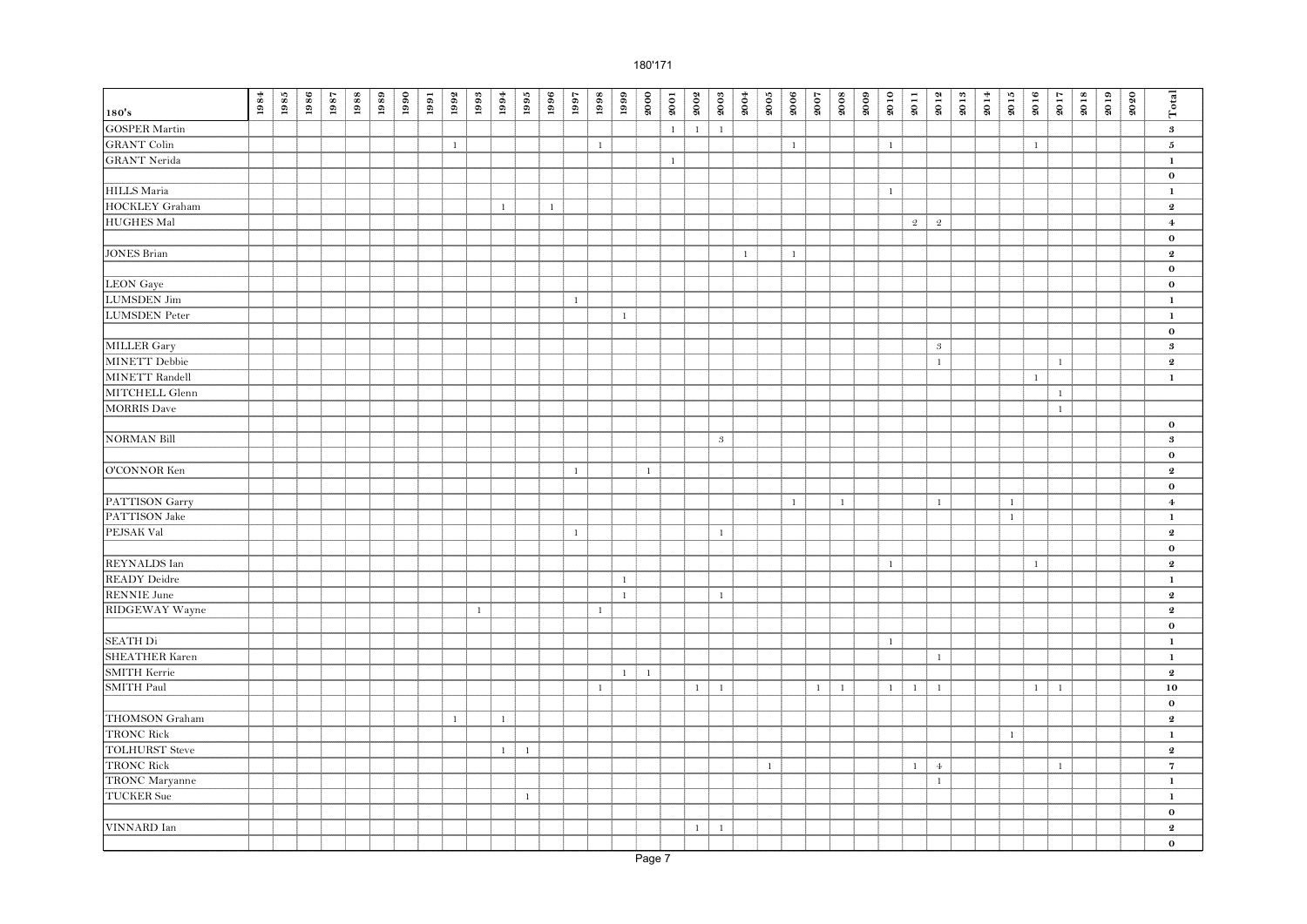| <b>GOSPER Martin</b><br>$1\,$<br>$\,1\,$<br>$\,1\,$<br>$\bf{3}$<br><b>GRANT Colin</b><br>$\mathbf{1}$<br>5<br>$\mathbf{1}$<br>$\mathbf{1}$<br>$\mathbf{1}$<br>$\mathbf{1}$<br><b>GRANT</b> Nerida<br>$\mathbf{1}$<br>$\mathbf 1$<br>$\bf{0}$<br><b>HILLS</b> Maria<br>$\mathbf{1}$<br>$\mathbf{1}$<br>HOCKLEY Graham<br>$\mathbf{1}$<br>$\mathbf{1}$<br>$\pmb{2}$<br><b>HUGHES Mal</b><br>$\overline{2}$<br>$\sqrt{2}$<br>$\boldsymbol{4}$<br>$\mathbf 0$<br>$\mathbf{1}$<br>$\mathbf{1}$<br>$\pmb{2}$<br>$\mathbf 0$<br>$\mathbf 0$<br>$\mathbf{1}$<br>$\mathbf{1}$<br>$\mathbf{1}$<br>$\,$ 1<br>$\bf{0}$<br>$\sqrt{3}$<br>3<br><b>MINETT</b> Debbie<br>$\mathbf{1}$<br>$\pmb{2}$<br>$\mathbf{1}$<br>$\mathbf{1}$<br>$\mathbf{1}$<br>MITCHELL Glenn<br>$\mathbf{1}$<br>$\mathbf{1}$<br>$\mathbf 0$<br>$\sqrt{3}$<br>$\boldsymbol{\mathcal{S}}$<br>$\mathbf 0$<br>$\mathbf{1}$<br>$\mathbf{1}$<br>$\pmb{2}$<br>$\bf{0}$<br>$1\,$<br>$\,1\,$<br>$\mathbf{1}$<br>$\,$ 1<br>$\boldsymbol{4}$<br>$\mathbf{1}$<br>$\,$ 1<br>$\,1\,$<br>$1\,$<br>$\pmb{2}$<br>$\bf{0}$<br>$\mathbf{1}$<br>$\pmb{2}$<br>$\mathbf{1}$<br>$\mathbf{1}$<br>1<br>$\mathbf{1}$<br>$\mathbf{1}$<br>$\boldsymbol{2}$<br>$1\,$<br>$\mathbf{1}$<br>$\boldsymbol{2}$<br>$\bf{0}$<br>$\mathbf{1}$<br>$\mathbf 1$<br>$\mathbf{1}$<br>$\mathbf{1}$<br>$\boldsymbol{2}$<br>$\mathbf{1}$<br>$\mathbf{1}$<br>SMITH Paul<br>1<br>$\mathbf{1}$<br>$\mathbf{1}$<br>$\mathbf{1}$<br>$\mathbf{1}$<br>$\overline{1}$<br>$\mathbf{1}$<br>$\mathbf{1}$<br>$\mathbf{1}$<br>10<br>$\mathbf{1}$<br>$\mathbf 0$<br>$\mathbf{1}$<br>$\pmb{2}$<br>$\mathbf{1}$<br>$\mathbf{1}$<br>$\,$ 1<br><b>TOLHURST Steve</b><br>$\pmb{2}$<br>$\mathbf{1}$<br>$\,$ 1 $\,$<br><b>TRONC Rick</b><br>$1\,$<br>$4\phantom{1}$<br>$\overline{7}$<br>$\mathbf{1}$<br>$\mathbf{1}$<br>TRONC Maryanne<br>$\mathbf{1}$<br>$\mathbf{1}$<br><b>TUCKER</b> Sue<br>$\mathbf{1}$<br>$\mathbf{1}$<br>$\bf{0}$<br>VINNARD Ian<br>$1\,$<br>$\mathbf{1}$<br>$\boldsymbol{2}$ |                       | $\boldsymbol{1984}$ | $\boldsymbol{1985}$ | 1986 | 1987 | 1988 | 1989 | 1990 | 1991 | 1992 | 1993 | 1994 | 1995 | 1996 | 1997 | 1998 | 1999 | 2000 | 2001 | 2002 | 2003 | 2004 | $\boldsymbol{2005}$ | 2006 | 2007 | 2008 | 2009 | 2010 | 2011 | 2012 | 2013 | 2014 | 2015 | 2016 | 2017 | 2018 | 2019 | 2020 | Total    |
|-------------------------------------------------------------------------------------------------------------------------------------------------------------------------------------------------------------------------------------------------------------------------------------------------------------------------------------------------------------------------------------------------------------------------------------------------------------------------------------------------------------------------------------------------------------------------------------------------------------------------------------------------------------------------------------------------------------------------------------------------------------------------------------------------------------------------------------------------------------------------------------------------------------------------------------------------------------------------------------------------------------------------------------------------------------------------------------------------------------------------------------------------------------------------------------------------------------------------------------------------------------------------------------------------------------------------------------------------------------------------------------------------------------------------------------------------------------------------------------------------------------------------------------------------------------------------------------------------------------------------------------------------------------------------------------------------------------------------------------------------------------------------------------------------------------------------------------------------------------------------------------------------------------------------------------------------------------------------------------------|-----------------------|---------------------|---------------------|------|------|------|------|------|------|------|------|------|------|------|------|------|------|------|------|------|------|------|---------------------|------|------|------|------|------|------|------|------|------|------|------|------|------|------|------|----------|
|                                                                                                                                                                                                                                                                                                                                                                                                                                                                                                                                                                                                                                                                                                                                                                                                                                                                                                                                                                                                                                                                                                                                                                                                                                                                                                                                                                                                                                                                                                                                                                                                                                                                                                                                                                                                                                                                                                                                                                                           | 180's                 |                     |                     |      |      |      |      |      |      |      |      |      |      |      |      |      |      |      |      |      |      |      |                     |      |      |      |      |      |      |      |      |      |      |      |      |      |      |      |          |
|                                                                                                                                                                                                                                                                                                                                                                                                                                                                                                                                                                                                                                                                                                                                                                                                                                                                                                                                                                                                                                                                                                                                                                                                                                                                                                                                                                                                                                                                                                                                                                                                                                                                                                                                                                                                                                                                                                                                                                                           |                       |                     |                     |      |      |      |      |      |      |      |      |      |      |      |      |      |      |      |      |      |      |      |                     |      |      |      |      |      |      |      |      |      |      |      |      |      |      |      |          |
|                                                                                                                                                                                                                                                                                                                                                                                                                                                                                                                                                                                                                                                                                                                                                                                                                                                                                                                                                                                                                                                                                                                                                                                                                                                                                                                                                                                                                                                                                                                                                                                                                                                                                                                                                                                                                                                                                                                                                                                           |                       |                     |                     |      |      |      |      |      |      |      |      |      |      |      |      |      |      |      |      |      |      |      |                     |      |      |      |      |      |      |      |      |      |      |      |      |      |      |      |          |
|                                                                                                                                                                                                                                                                                                                                                                                                                                                                                                                                                                                                                                                                                                                                                                                                                                                                                                                                                                                                                                                                                                                                                                                                                                                                                                                                                                                                                                                                                                                                                                                                                                                                                                                                                                                                                                                                                                                                                                                           |                       |                     |                     |      |      |      |      |      |      |      |      |      |      |      |      |      |      |      |      |      |      |      |                     |      |      |      |      |      |      |      |      |      |      |      |      |      |      |      |          |
|                                                                                                                                                                                                                                                                                                                                                                                                                                                                                                                                                                                                                                                                                                                                                                                                                                                                                                                                                                                                                                                                                                                                                                                                                                                                                                                                                                                                                                                                                                                                                                                                                                                                                                                                                                                                                                                                                                                                                                                           |                       |                     |                     |      |      |      |      |      |      |      |      |      |      |      |      |      |      |      |      |      |      |      |                     |      |      |      |      |      |      |      |      |      |      |      |      |      |      |      |          |
|                                                                                                                                                                                                                                                                                                                                                                                                                                                                                                                                                                                                                                                                                                                                                                                                                                                                                                                                                                                                                                                                                                                                                                                                                                                                                                                                                                                                                                                                                                                                                                                                                                                                                                                                                                                                                                                                                                                                                                                           |                       |                     |                     |      |      |      |      |      |      |      |      |      |      |      |      |      |      |      |      |      |      |      |                     |      |      |      |      |      |      |      |      |      |      |      |      |      |      |      |          |
|                                                                                                                                                                                                                                                                                                                                                                                                                                                                                                                                                                                                                                                                                                                                                                                                                                                                                                                                                                                                                                                                                                                                                                                                                                                                                                                                                                                                                                                                                                                                                                                                                                                                                                                                                                                                                                                                                                                                                                                           |                       |                     |                     |      |      |      |      |      |      |      |      |      |      |      |      |      |      |      |      |      |      |      |                     |      |      |      |      |      |      |      |      |      |      |      |      |      |      |      |          |
|                                                                                                                                                                                                                                                                                                                                                                                                                                                                                                                                                                                                                                                                                                                                                                                                                                                                                                                                                                                                                                                                                                                                                                                                                                                                                                                                                                                                                                                                                                                                                                                                                                                                                                                                                                                                                                                                                                                                                                                           |                       |                     |                     |      |      |      |      |      |      |      |      |      |      |      |      |      |      |      |      |      |      |      |                     |      |      |      |      |      |      |      |      |      |      |      |      |      |      |      |          |
|                                                                                                                                                                                                                                                                                                                                                                                                                                                                                                                                                                                                                                                                                                                                                                                                                                                                                                                                                                                                                                                                                                                                                                                                                                                                                                                                                                                                                                                                                                                                                                                                                                                                                                                                                                                                                                                                                                                                                                                           |                       |                     |                     |      |      |      |      |      |      |      |      |      |      |      |      |      |      |      |      |      |      |      |                     |      |      |      |      |      |      |      |      |      |      |      |      |      |      |      |          |
|                                                                                                                                                                                                                                                                                                                                                                                                                                                                                                                                                                                                                                                                                                                                                                                                                                                                                                                                                                                                                                                                                                                                                                                                                                                                                                                                                                                                                                                                                                                                                                                                                                                                                                                                                                                                                                                                                                                                                                                           | <b>JONES</b> Brian    |                     |                     |      |      |      |      |      |      |      |      |      |      |      |      |      |      |      |      |      |      |      |                     |      |      |      |      |      |      |      |      |      |      |      |      |      |      |      |          |
|                                                                                                                                                                                                                                                                                                                                                                                                                                                                                                                                                                                                                                                                                                                                                                                                                                                                                                                                                                                                                                                                                                                                                                                                                                                                                                                                                                                                                                                                                                                                                                                                                                                                                                                                                                                                                                                                                                                                                                                           |                       |                     |                     |      |      |      |      |      |      |      |      |      |      |      |      |      |      |      |      |      |      |      |                     |      |      |      |      |      |      |      |      |      |      |      |      |      |      |      |          |
|                                                                                                                                                                                                                                                                                                                                                                                                                                                                                                                                                                                                                                                                                                                                                                                                                                                                                                                                                                                                                                                                                                                                                                                                                                                                                                                                                                                                                                                                                                                                                                                                                                                                                                                                                                                                                                                                                                                                                                                           | <b>LEON</b> Gaye      |                     |                     |      |      |      |      |      |      |      |      |      |      |      |      |      |      |      |      |      |      |      |                     |      |      |      |      |      |      |      |      |      |      |      |      |      |      |      |          |
|                                                                                                                                                                                                                                                                                                                                                                                                                                                                                                                                                                                                                                                                                                                                                                                                                                                                                                                                                                                                                                                                                                                                                                                                                                                                                                                                                                                                                                                                                                                                                                                                                                                                                                                                                                                                                                                                                                                                                                                           | <b>LUMSDEN</b> Jim    |                     |                     |      |      |      |      |      |      |      |      |      |      |      |      |      |      |      |      |      |      |      |                     |      |      |      |      |      |      |      |      |      |      |      |      |      |      |      |          |
|                                                                                                                                                                                                                                                                                                                                                                                                                                                                                                                                                                                                                                                                                                                                                                                                                                                                                                                                                                                                                                                                                                                                                                                                                                                                                                                                                                                                                                                                                                                                                                                                                                                                                                                                                                                                                                                                                                                                                                                           | <b>LUMSDEN</b> Peter  |                     |                     |      |      |      |      |      |      |      |      |      |      |      |      |      |      |      |      |      |      |      |                     |      |      |      |      |      |      |      |      |      |      |      |      |      |      |      |          |
|                                                                                                                                                                                                                                                                                                                                                                                                                                                                                                                                                                                                                                                                                                                                                                                                                                                                                                                                                                                                                                                                                                                                                                                                                                                                                                                                                                                                                                                                                                                                                                                                                                                                                                                                                                                                                                                                                                                                                                                           |                       |                     |                     |      |      |      |      |      |      |      |      |      |      |      |      |      |      |      |      |      |      |      |                     |      |      |      |      |      |      |      |      |      |      |      |      |      |      |      |          |
|                                                                                                                                                                                                                                                                                                                                                                                                                                                                                                                                                                                                                                                                                                                                                                                                                                                                                                                                                                                                                                                                                                                                                                                                                                                                                                                                                                                                                                                                                                                                                                                                                                                                                                                                                                                                                                                                                                                                                                                           | MILLER Gary           |                     |                     |      |      |      |      |      |      |      |      |      |      |      |      |      |      |      |      |      |      |      |                     |      |      |      |      |      |      |      |      |      |      |      |      |      |      |      |          |
|                                                                                                                                                                                                                                                                                                                                                                                                                                                                                                                                                                                                                                                                                                                                                                                                                                                                                                                                                                                                                                                                                                                                                                                                                                                                                                                                                                                                                                                                                                                                                                                                                                                                                                                                                                                                                                                                                                                                                                                           |                       |                     |                     |      |      |      |      |      |      |      |      |      |      |      |      |      |      |      |      |      |      |      |                     |      |      |      |      |      |      |      |      |      |      |      |      |      |      |      |          |
|                                                                                                                                                                                                                                                                                                                                                                                                                                                                                                                                                                                                                                                                                                                                                                                                                                                                                                                                                                                                                                                                                                                                                                                                                                                                                                                                                                                                                                                                                                                                                                                                                                                                                                                                                                                                                                                                                                                                                                                           | MINETT Randell        |                     |                     |      |      |      |      |      |      |      |      |      |      |      |      |      |      |      |      |      |      |      |                     |      |      |      |      |      |      |      |      |      |      |      |      |      |      |      |          |
|                                                                                                                                                                                                                                                                                                                                                                                                                                                                                                                                                                                                                                                                                                                                                                                                                                                                                                                                                                                                                                                                                                                                                                                                                                                                                                                                                                                                                                                                                                                                                                                                                                                                                                                                                                                                                                                                                                                                                                                           |                       |                     |                     |      |      |      |      |      |      |      |      |      |      |      |      |      |      |      |      |      |      |      |                     |      |      |      |      |      |      |      |      |      |      |      |      |      |      |      |          |
|                                                                                                                                                                                                                                                                                                                                                                                                                                                                                                                                                                                                                                                                                                                                                                                                                                                                                                                                                                                                                                                                                                                                                                                                                                                                                                                                                                                                                                                                                                                                                                                                                                                                                                                                                                                                                                                                                                                                                                                           | <b>MORRIS</b> Dave    |                     |                     |      |      |      |      |      |      |      |      |      |      |      |      |      |      |      |      |      |      |      |                     |      |      |      |      |      |      |      |      |      |      |      |      |      |      |      |          |
|                                                                                                                                                                                                                                                                                                                                                                                                                                                                                                                                                                                                                                                                                                                                                                                                                                                                                                                                                                                                                                                                                                                                                                                                                                                                                                                                                                                                                                                                                                                                                                                                                                                                                                                                                                                                                                                                                                                                                                                           |                       |                     |                     |      |      |      |      |      |      |      |      |      |      |      |      |      |      |      |      |      |      |      |                     |      |      |      |      |      |      |      |      |      |      |      |      |      |      |      |          |
|                                                                                                                                                                                                                                                                                                                                                                                                                                                                                                                                                                                                                                                                                                                                                                                                                                                                                                                                                                                                                                                                                                                                                                                                                                                                                                                                                                                                                                                                                                                                                                                                                                                                                                                                                                                                                                                                                                                                                                                           | <b>NORMAN Bill</b>    |                     |                     |      |      |      |      |      |      |      |      |      |      |      |      |      |      |      |      |      |      |      |                     |      |      |      |      |      |      |      |      |      |      |      |      |      |      |      |          |
|                                                                                                                                                                                                                                                                                                                                                                                                                                                                                                                                                                                                                                                                                                                                                                                                                                                                                                                                                                                                                                                                                                                                                                                                                                                                                                                                                                                                                                                                                                                                                                                                                                                                                                                                                                                                                                                                                                                                                                                           |                       |                     |                     |      |      |      |      |      |      |      |      |      |      |      |      |      |      |      |      |      |      |      |                     |      |      |      |      |      |      |      |      |      |      |      |      |      |      |      |          |
|                                                                                                                                                                                                                                                                                                                                                                                                                                                                                                                                                                                                                                                                                                                                                                                                                                                                                                                                                                                                                                                                                                                                                                                                                                                                                                                                                                                                                                                                                                                                                                                                                                                                                                                                                                                                                                                                                                                                                                                           | O'CONNOR Ken          |                     |                     |      |      |      |      |      |      |      |      |      |      |      |      |      |      |      |      |      |      |      |                     |      |      |      |      |      |      |      |      |      |      |      |      |      |      |      |          |
|                                                                                                                                                                                                                                                                                                                                                                                                                                                                                                                                                                                                                                                                                                                                                                                                                                                                                                                                                                                                                                                                                                                                                                                                                                                                                                                                                                                                                                                                                                                                                                                                                                                                                                                                                                                                                                                                                                                                                                                           |                       |                     |                     |      |      |      |      |      |      |      |      |      |      |      |      |      |      |      |      |      |      |      |                     |      |      |      |      |      |      |      |      |      |      |      |      |      |      |      |          |
|                                                                                                                                                                                                                                                                                                                                                                                                                                                                                                                                                                                                                                                                                                                                                                                                                                                                                                                                                                                                                                                                                                                                                                                                                                                                                                                                                                                                                                                                                                                                                                                                                                                                                                                                                                                                                                                                                                                                                                                           | PATTISON Garry        |                     |                     |      |      |      |      |      |      |      |      |      |      |      |      |      |      |      |      |      |      |      |                     |      |      |      |      |      |      |      |      |      |      |      |      |      |      |      |          |
|                                                                                                                                                                                                                                                                                                                                                                                                                                                                                                                                                                                                                                                                                                                                                                                                                                                                                                                                                                                                                                                                                                                                                                                                                                                                                                                                                                                                                                                                                                                                                                                                                                                                                                                                                                                                                                                                                                                                                                                           | PATTISON Jake         |                     |                     |      |      |      |      |      |      |      |      |      |      |      |      |      |      |      |      |      |      |      |                     |      |      |      |      |      |      |      |      |      |      |      |      |      |      |      |          |
|                                                                                                                                                                                                                                                                                                                                                                                                                                                                                                                                                                                                                                                                                                                                                                                                                                                                                                                                                                                                                                                                                                                                                                                                                                                                                                                                                                                                                                                                                                                                                                                                                                                                                                                                                                                                                                                                                                                                                                                           | PEJSAK Val            |                     |                     |      |      |      |      |      |      |      |      |      |      |      |      |      |      |      |      |      |      |      |                     |      |      |      |      |      |      |      |      |      |      |      |      |      |      |      |          |
|                                                                                                                                                                                                                                                                                                                                                                                                                                                                                                                                                                                                                                                                                                                                                                                                                                                                                                                                                                                                                                                                                                                                                                                                                                                                                                                                                                                                                                                                                                                                                                                                                                                                                                                                                                                                                                                                                                                                                                                           |                       |                     |                     |      |      |      |      |      |      |      |      |      |      |      |      |      |      |      |      |      |      |      |                     |      |      |      |      |      |      |      |      |      |      |      |      |      |      |      |          |
|                                                                                                                                                                                                                                                                                                                                                                                                                                                                                                                                                                                                                                                                                                                                                                                                                                                                                                                                                                                                                                                                                                                                                                                                                                                                                                                                                                                                                                                                                                                                                                                                                                                                                                                                                                                                                                                                                                                                                                                           | REYNALDS Ian          |                     |                     |      |      |      |      |      |      |      |      |      |      |      |      |      |      |      |      |      |      |      |                     |      |      |      |      |      |      |      |      |      |      |      |      |      |      |      |          |
|                                                                                                                                                                                                                                                                                                                                                                                                                                                                                                                                                                                                                                                                                                                                                                                                                                                                                                                                                                                                                                                                                                                                                                                                                                                                                                                                                                                                                                                                                                                                                                                                                                                                                                                                                                                                                                                                                                                                                                                           | <b>READY</b> Deidre   |                     |                     |      |      |      |      |      |      |      |      |      |      |      |      |      |      |      |      |      |      |      |                     |      |      |      |      |      |      |      |      |      |      |      |      |      |      |      |          |
|                                                                                                                                                                                                                                                                                                                                                                                                                                                                                                                                                                                                                                                                                                                                                                                                                                                                                                                                                                                                                                                                                                                                                                                                                                                                                                                                                                                                                                                                                                                                                                                                                                                                                                                                                                                                                                                                                                                                                                                           | <b>RENNIE</b> June    |                     |                     |      |      |      |      |      |      |      |      |      |      |      |      |      |      |      |      |      |      |      |                     |      |      |      |      |      |      |      |      |      |      |      |      |      |      |      |          |
|                                                                                                                                                                                                                                                                                                                                                                                                                                                                                                                                                                                                                                                                                                                                                                                                                                                                                                                                                                                                                                                                                                                                                                                                                                                                                                                                                                                                                                                                                                                                                                                                                                                                                                                                                                                                                                                                                                                                                                                           | <b>RIDGEWAY Wayne</b> |                     |                     |      |      |      |      |      |      |      |      |      |      |      |      |      |      |      |      |      |      |      |                     |      |      |      |      |      |      |      |      |      |      |      |      |      |      |      |          |
|                                                                                                                                                                                                                                                                                                                                                                                                                                                                                                                                                                                                                                                                                                                                                                                                                                                                                                                                                                                                                                                                                                                                                                                                                                                                                                                                                                                                                                                                                                                                                                                                                                                                                                                                                                                                                                                                                                                                                                                           |                       |                     |                     |      |      |      |      |      |      |      |      |      |      |      |      |      |      |      |      |      |      |      |                     |      |      |      |      |      |      |      |      |      |      |      |      |      |      |      |          |
|                                                                                                                                                                                                                                                                                                                                                                                                                                                                                                                                                                                                                                                                                                                                                                                                                                                                                                                                                                                                                                                                                                                                                                                                                                                                                                                                                                                                                                                                                                                                                                                                                                                                                                                                                                                                                                                                                                                                                                                           | <b>SEATH Di</b>       |                     |                     |      |      |      |      |      |      |      |      |      |      |      |      |      |      |      |      |      |      |      |                     |      |      |      |      |      |      |      |      |      |      |      |      |      |      |      |          |
|                                                                                                                                                                                                                                                                                                                                                                                                                                                                                                                                                                                                                                                                                                                                                                                                                                                                                                                                                                                                                                                                                                                                                                                                                                                                                                                                                                                                                                                                                                                                                                                                                                                                                                                                                                                                                                                                                                                                                                                           | <b>SHEATHER Karen</b> |                     |                     |      |      |      |      |      |      |      |      |      |      |      |      |      |      |      |      |      |      |      |                     |      |      |      |      |      |      |      |      |      |      |      |      |      |      |      |          |
|                                                                                                                                                                                                                                                                                                                                                                                                                                                                                                                                                                                                                                                                                                                                                                                                                                                                                                                                                                                                                                                                                                                                                                                                                                                                                                                                                                                                                                                                                                                                                                                                                                                                                                                                                                                                                                                                                                                                                                                           | <b>SMITH Kerrie</b>   |                     |                     |      |      |      |      |      |      |      |      |      |      |      |      |      |      |      |      |      |      |      |                     |      |      |      |      |      |      |      |      |      |      |      |      |      |      |      |          |
|                                                                                                                                                                                                                                                                                                                                                                                                                                                                                                                                                                                                                                                                                                                                                                                                                                                                                                                                                                                                                                                                                                                                                                                                                                                                                                                                                                                                                                                                                                                                                                                                                                                                                                                                                                                                                                                                                                                                                                                           |                       |                     |                     |      |      |      |      |      |      |      |      |      |      |      |      |      |      |      |      |      |      |      |                     |      |      |      |      |      |      |      |      |      |      |      |      |      |      |      |          |
|                                                                                                                                                                                                                                                                                                                                                                                                                                                                                                                                                                                                                                                                                                                                                                                                                                                                                                                                                                                                                                                                                                                                                                                                                                                                                                                                                                                                                                                                                                                                                                                                                                                                                                                                                                                                                                                                                                                                                                                           |                       |                     |                     |      |      |      |      |      |      |      |      |      |      |      |      |      |      |      |      |      |      |      |                     |      |      |      |      |      |      |      |      |      |      |      |      |      |      |      |          |
|                                                                                                                                                                                                                                                                                                                                                                                                                                                                                                                                                                                                                                                                                                                                                                                                                                                                                                                                                                                                                                                                                                                                                                                                                                                                                                                                                                                                                                                                                                                                                                                                                                                                                                                                                                                                                                                                                                                                                                                           | THOMSON Graham        |                     |                     |      |      |      |      |      |      |      |      |      |      |      |      |      |      |      |      |      |      |      |                     |      |      |      |      |      |      |      |      |      |      |      |      |      |      |      |          |
|                                                                                                                                                                                                                                                                                                                                                                                                                                                                                                                                                                                                                                                                                                                                                                                                                                                                                                                                                                                                                                                                                                                                                                                                                                                                                                                                                                                                                                                                                                                                                                                                                                                                                                                                                                                                                                                                                                                                                                                           | <b>TRONC Rick</b>     |                     |                     |      |      |      |      |      |      |      |      |      |      |      |      |      |      |      |      |      |      |      |                     |      |      |      |      |      |      |      |      |      |      |      |      |      |      |      |          |
|                                                                                                                                                                                                                                                                                                                                                                                                                                                                                                                                                                                                                                                                                                                                                                                                                                                                                                                                                                                                                                                                                                                                                                                                                                                                                                                                                                                                                                                                                                                                                                                                                                                                                                                                                                                                                                                                                                                                                                                           |                       |                     |                     |      |      |      |      |      |      |      |      |      |      |      |      |      |      |      |      |      |      |      |                     |      |      |      |      |      |      |      |      |      |      |      |      |      |      |      |          |
|                                                                                                                                                                                                                                                                                                                                                                                                                                                                                                                                                                                                                                                                                                                                                                                                                                                                                                                                                                                                                                                                                                                                                                                                                                                                                                                                                                                                                                                                                                                                                                                                                                                                                                                                                                                                                                                                                                                                                                                           |                       |                     |                     |      |      |      |      |      |      |      |      |      |      |      |      |      |      |      |      |      |      |      |                     |      |      |      |      |      |      |      |      |      |      |      |      |      |      |      |          |
|                                                                                                                                                                                                                                                                                                                                                                                                                                                                                                                                                                                                                                                                                                                                                                                                                                                                                                                                                                                                                                                                                                                                                                                                                                                                                                                                                                                                                                                                                                                                                                                                                                                                                                                                                                                                                                                                                                                                                                                           |                       |                     |                     |      |      |      |      |      |      |      |      |      |      |      |      |      |      |      |      |      |      |      |                     |      |      |      |      |      |      |      |      |      |      |      |      |      |      |      |          |
|                                                                                                                                                                                                                                                                                                                                                                                                                                                                                                                                                                                                                                                                                                                                                                                                                                                                                                                                                                                                                                                                                                                                                                                                                                                                                                                                                                                                                                                                                                                                                                                                                                                                                                                                                                                                                                                                                                                                                                                           |                       |                     |                     |      |      |      |      |      |      |      |      |      |      |      |      |      |      |      |      |      |      |      |                     |      |      |      |      |      |      |      |      |      |      |      |      |      |      |      |          |
|                                                                                                                                                                                                                                                                                                                                                                                                                                                                                                                                                                                                                                                                                                                                                                                                                                                                                                                                                                                                                                                                                                                                                                                                                                                                                                                                                                                                                                                                                                                                                                                                                                                                                                                                                                                                                                                                                                                                                                                           |                       |                     |                     |      |      |      |      |      |      |      |      |      |      |      |      |      |      |      |      |      |      |      |                     |      |      |      |      |      |      |      |      |      |      |      |      |      |      |      |          |
|                                                                                                                                                                                                                                                                                                                                                                                                                                                                                                                                                                                                                                                                                                                                                                                                                                                                                                                                                                                                                                                                                                                                                                                                                                                                                                                                                                                                                                                                                                                                                                                                                                                                                                                                                                                                                                                                                                                                                                                           |                       |                     |                     |      |      |      |      |      |      |      |      |      |      |      |      |      |      |      |      |      |      |      |                     |      |      |      |      |      |      |      |      |      |      |      |      |      |      |      |          |
|                                                                                                                                                                                                                                                                                                                                                                                                                                                                                                                                                                                                                                                                                                                                                                                                                                                                                                                                                                                                                                                                                                                                                                                                                                                                                                                                                                                                                                                                                                                                                                                                                                                                                                                                                                                                                                                                                                                                                                                           |                       |                     |                     |      |      |      |      |      |      |      |      |      |      |      |      |      |      |      |      |      |      |      |                     |      |      |      |      |      |      |      |      |      |      |      |      |      |      |      | $\bf{0}$ |